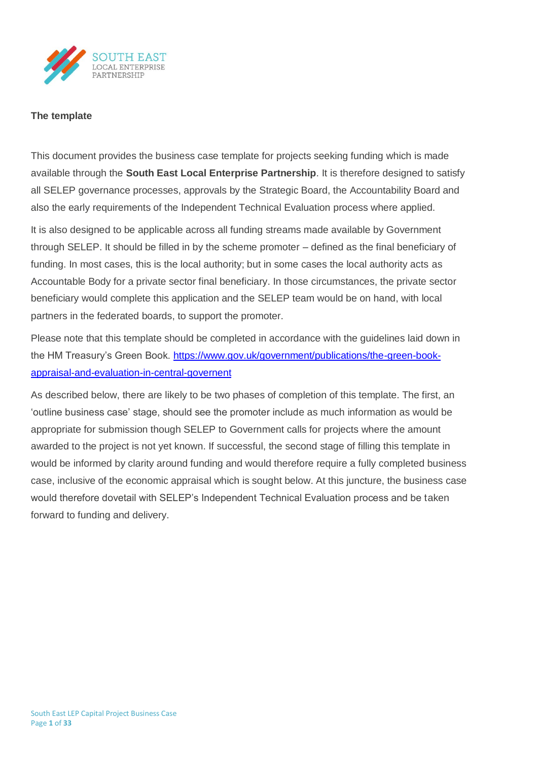

### **The template**

This document provides the business case template for projects seeking funding which is made available through the **South East Local Enterprise Partnership**. It is therefore designed to satisfy all SELEP governance processes, approvals by the Strategic Board, the Accountability Board and also the early requirements of the Independent Technical Evaluation process where applied.

It is also designed to be applicable across all funding streams made available by Government through SELEP. It should be filled in by the scheme promoter – defined as the final beneficiary of funding. In most cases, this is the local authority; but in some cases the local authority acts as Accountable Body for a private sector final beneficiary. In those circumstances, the private sector beneficiary would complete this application and the SELEP team would be on hand, with local partners in the federated boards, to support the promoter.

Please note that this template should be completed in accordance with the guidelines laid down in the HM Treasury's Green Book. [https://www.gov.uk/government/publications/the-green-book](https://www.gov.uk/government/publications/the-green-book-appraisal-and-evaluation-in-central-governent)[appraisal-and-evaluation-in-central-governent](https://www.gov.uk/government/publications/the-green-book-appraisal-and-evaluation-in-central-governent)

As described below, there are likely to be two phases of completion of this template. The first, an 'outline business case' stage, should see the promoter include as much information as would be appropriate for submission though SELEP to Government calls for projects where the amount awarded to the project is not yet known. If successful, the second stage of filling this template in would be informed by clarity around funding and would therefore require a fully completed business case, inclusive of the economic appraisal which is sought below. At this juncture, the business case would therefore dovetail with SELEP's Independent Technical Evaluation process and be taken forward to funding and delivery.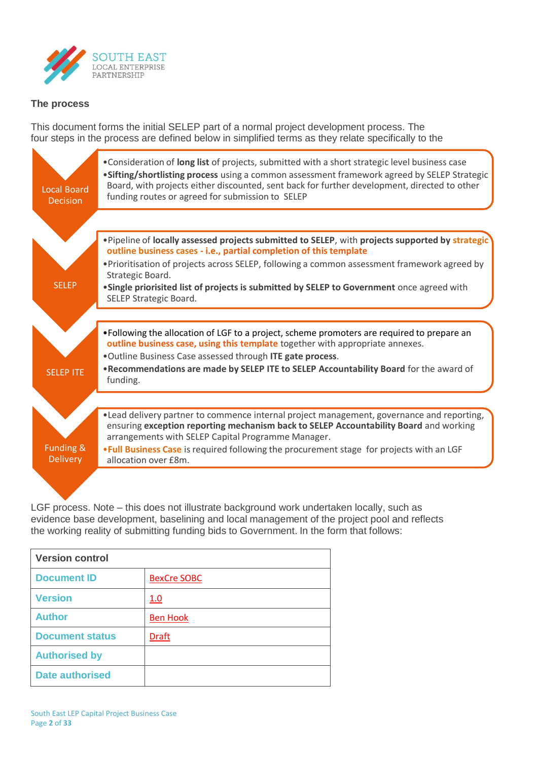

## **The process**

This document forms the initial SELEP part of a normal project development process. The four steps in the process are defined below in simplified terms as they relate specifically to the



LGF process. Note – this does not illustrate background work undertaken locally, such as evidence base development, baselining and local management of the project pool and reflects the working reality of submitting funding bids to Government. In the form that follows:

| <b>Version control</b> |                    |
|------------------------|--------------------|
| <b>Document ID</b>     | <b>BexCre SOBC</b> |
| <b>Version</b>         | 1.0                |
| <b>Author</b>          | <b>Ben Hook</b>    |
| <b>Document status</b> | <b>Draft</b>       |
| <b>Authorised by</b>   |                    |
| <b>Date authorised</b> |                    |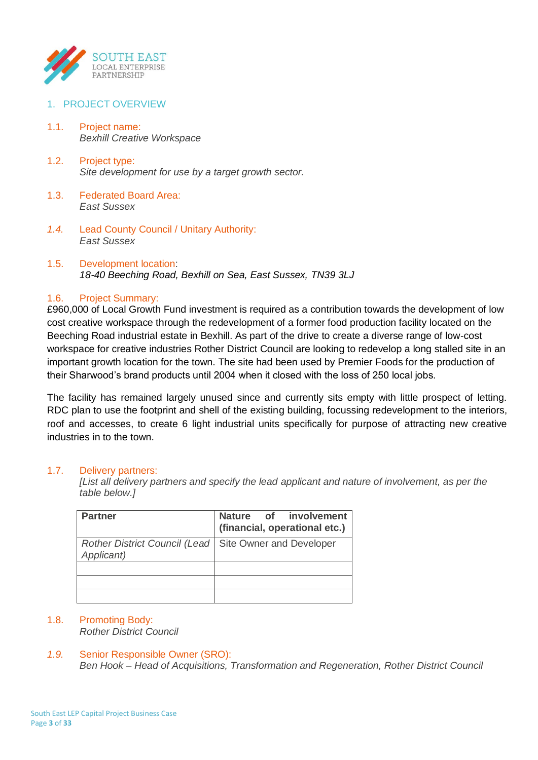

## 1. PROJECT OVERVIEW

- 1.1. Project name: *Bexhill Creative Workspace*
- 1.2. Project type: *Site development for use by a target growth sector.*
- 1.3. Federated Board Area: *East Sussex*
- *1.4.* Lead County Council / Unitary Authority: *East Sussex*
- 1.5. Development location: *18-40 Beeching Road, Bexhill on Sea, East Sussex, TN39 3LJ*

### 1.6. Project Summary:

£960,000 of Local Growth Fund investment is required as a contribution towards the development of low cost creative workspace through the redevelopment of a former food production facility located on the Beeching Road industrial estate in Bexhill. As part of the drive to create a diverse range of low-cost workspace for creative industries Rother District Council are looking to redevelop a long stalled site in an important growth location for the town. The site had been used by Premier Foods for the production of their Sharwood's brand products until 2004 when it closed with the loss of 250 local jobs.

The facility has remained largely unused since and currently sits empty with little prospect of letting. RDC plan to use the footprint and shell of the existing building, focussing redevelopment to the interiors, roof and accesses, to create 6 light industrial units specifically for purpose of attracting new creative industries in to the town.

#### 1.7. Delivery partners:

*[List all delivery partners and specify the lead applicant and nature of involvement, as per the table below.]*

| <b>Partner</b>                                                         | Nature of involvement<br>(financial, operational etc.) |
|------------------------------------------------------------------------|--------------------------------------------------------|
| Rother District Council (Lead   Site Owner and Developer<br>Applicant) |                                                        |
|                                                                        |                                                        |
|                                                                        |                                                        |
|                                                                        |                                                        |

## 1.8. Promoting Body:

*Rother District Council*

## *1.9.* Senior Responsible Owner (SRO):

*Ben Hook – Head of Acquisitions, Transformation and Regeneration, Rother District Council*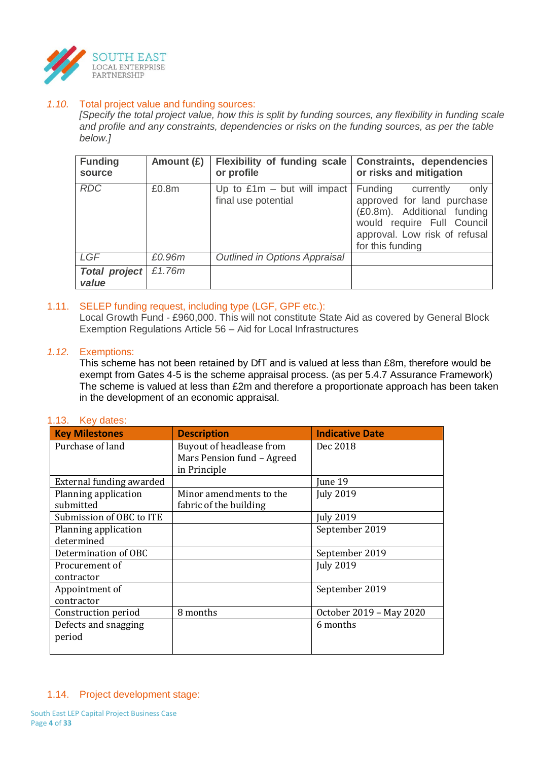

## *1.10.* Total project value and funding sources:

*[Specify the total project value, how this is split by funding sources, any flexibility in funding scale and profile and any constraints, dependencies or risks on the funding sources, as per the table below.]*

| <b>Funding</b><br>source      | Amount $(E)$ | <b>Flexibility of funding scale</b><br>or profile    | <b>Constraints, dependencies</b><br>or risks and mitigation                                                                                                               |
|-------------------------------|--------------|------------------------------------------------------|---------------------------------------------------------------------------------------------------------------------------------------------------------------------------|
| <b>RDC</b>                    | £0.8m        | Up to $£1m - but will impact$<br>final use potential | Funding currently<br>only<br>approved for land purchase<br>(£0.8m). Additional funding<br>would require Full Council<br>approval. Low risk of refusal<br>for this funding |
| LGF                           | £0.96m       | <b>Outlined in Options Appraisal</b>                 |                                                                                                                                                                           |
| <b>Total project</b><br>value | £1.76m       |                                                      |                                                                                                                                                                           |

## 1.11. SELEP funding request, including type (LGF, GPF etc.):

Local Growth Fund - £960,000. This will not constitute State Aid as covered by General Block Exemption Regulations Article 56 – Aid for Local Infrastructures

### *1.12.* Exemptions:

This scheme has not been retained by DfT and is valued at less than £8m, therefore would be exempt from Gates 4-5 is the scheme appraisal process. (as per 5.4.7 Assurance Framework) The scheme is valued at less than £2m and therefore a proportionate approach has been taken in the development of an economic appraisal.

# 1.13. Key dates:

| <b>Key Milestones</b>    | <b>Description</b>         | <b>Indicative Date</b>  |
|--------------------------|----------------------------|-------------------------|
| Purchase of land         | Buyout of headlease from   | Dec 2018                |
|                          | Mars Pension fund - Agreed |                         |
|                          | in Principle               |                         |
| External funding awarded |                            | June 19                 |
| Planning application     | Minor amendments to the    | <b>July 2019</b>        |
| submitted                | fabric of the building     |                         |
| Submission of OBC to ITE |                            | <b>July 2019</b>        |
| Planning application     |                            | September 2019          |
| determined               |                            |                         |
| Determination of OBC     |                            | September 2019          |
| Procurement of           |                            | <b>July 2019</b>        |
| contractor               |                            |                         |
| Appointment of           |                            | September 2019          |
| contractor               |                            |                         |
| Construction period      | 8 months                   | October 2019 - May 2020 |
| Defects and snagging     |                            | 6 months                |
| period                   |                            |                         |
|                          |                            |                         |

#### 1.14. Project development stage: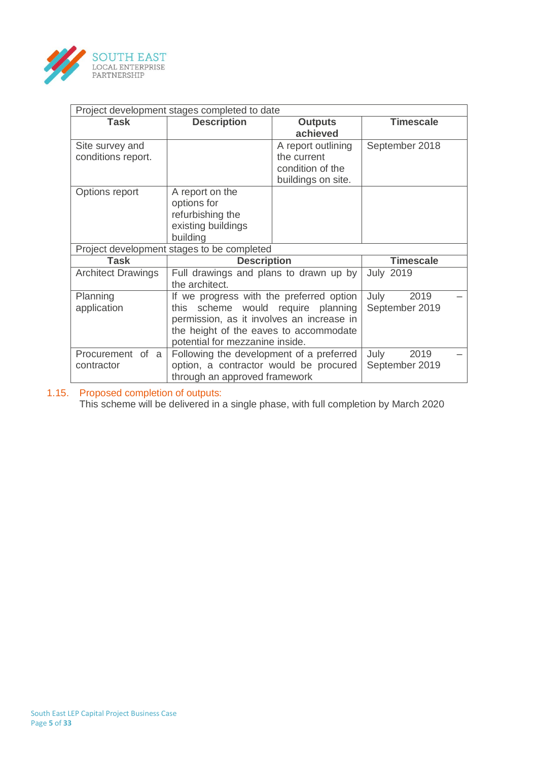

| Project development stages completed to date |                                                                                                                                                                                                          |                                                                             |                  |  |
|----------------------------------------------|----------------------------------------------------------------------------------------------------------------------------------------------------------------------------------------------------------|-----------------------------------------------------------------------------|------------------|--|
| Task                                         | <b>Description</b>                                                                                                                                                                                       | <b>Outputs</b><br>achieved                                                  | <b>Timescale</b> |  |
| Site survey and<br>conditions report.        |                                                                                                                                                                                                          | A report outlining<br>the current<br>condition of the<br>buildings on site. | September 2018   |  |
| Options report                               | A report on the<br>options for<br>refurbishing the<br>existing buildings<br>building                                                                                                                     |                                                                             |                  |  |
| <b>Task</b>                                  | Project development stages to be completed<br><b>Description</b>                                                                                                                                         |                                                                             | <b>Timescale</b> |  |
| <b>Architect Drawings</b>                    | Full drawings and plans to drawn up by<br>the architect.                                                                                                                                                 |                                                                             | <b>July 2019</b> |  |
| Planning<br>application                      | If we progress with the preferred option<br>this scheme would require planning<br>permission, as it involves an increase in<br>the height of the eaves to accommodate<br>potential for mezzanine inside. | July<br>2019<br>September 2019                                              |                  |  |
| Procurement of a<br>contractor               | Following the development of a preferred<br>option, a contractor would be procured<br>through an approved framework                                                                                      | July<br>2019<br>September 2019                                              |                  |  |

#### 1.15. Proposed completion of outputs:

This scheme will be delivered in a single phase, with full completion by March 2020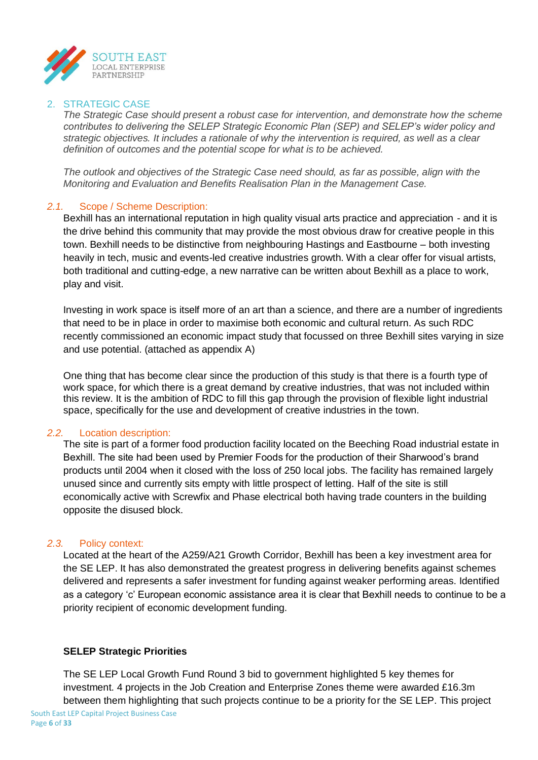

### 2. STRATEGIC CASE

*The Strategic Case should present a robust case for intervention, and demonstrate how the scheme contributes to delivering the SELEP Strategic Economic Plan (SEP) and SELEP's wider policy and strategic objectives. It includes a rationale of why the intervention is required, as well as a clear definition of outcomes and the potential scope for what is to be achieved.*

*The outlook and objectives of the Strategic Case need should, as far as possible, align with the Monitoring and Evaluation and Benefits Realisation Plan in the Management Case.*

### *2.1.* Scope / Scheme Description:

Bexhill has an international reputation in high quality visual arts practice and appreciation - and it is the drive behind this community that may provide the most obvious draw for creative people in this town. Bexhill needs to be distinctive from neighbouring Hastings and Eastbourne – both investing heavily in tech, music and events-led creative industries growth. With a clear offer for visual artists, both traditional and cutting-edge, a new narrative can be written about Bexhill as a place to work, play and visit.

Investing in work space is itself more of an art than a science, and there are a number of ingredients that need to be in place in order to maximise both economic and cultural return. As such RDC recently commissioned an economic impact study that focussed on three Bexhill sites varying in size and use potential. (attached as appendix A)

One thing that has become clear since the production of this study is that there is a fourth type of work space, for which there is a great demand by creative industries, that was not included within this review. It is the ambition of RDC to fill this gap through the provision of flexible light industrial space, specifically for the use and development of creative industries in the town.

#### *2.2.* Location description:

The site is part of a former food production facility located on the Beeching Road industrial estate in Bexhill. The site had been used by Premier Foods for the production of their Sharwood's brand products until 2004 when it closed with the loss of 250 local jobs. The facility has remained largely unused since and currently sits empty with little prospect of letting. Half of the site is still economically active with Screwfix and Phase electrical both having trade counters in the building opposite the disused block.

#### *2.3.* Policy context:

Located at the heart of the A259/A21 Growth Corridor, Bexhill has been a key investment area for the SE LEP. It has also demonstrated the greatest progress in delivering benefits against schemes delivered and represents a safer investment for funding against weaker performing areas. Identified as a category 'c' European economic assistance area it is clear that Bexhill needs to continue to be a priority recipient of economic development funding.

## **SELEP Strategic Priorities**

The SE LEP Local Growth Fund Round 3 bid to government highlighted 5 key themes for investment. 4 projects in the Job Creation and Enterprise Zones theme were awarded £16.3m between them highlighting that such projects continue to be a priority for the SE LEP. This project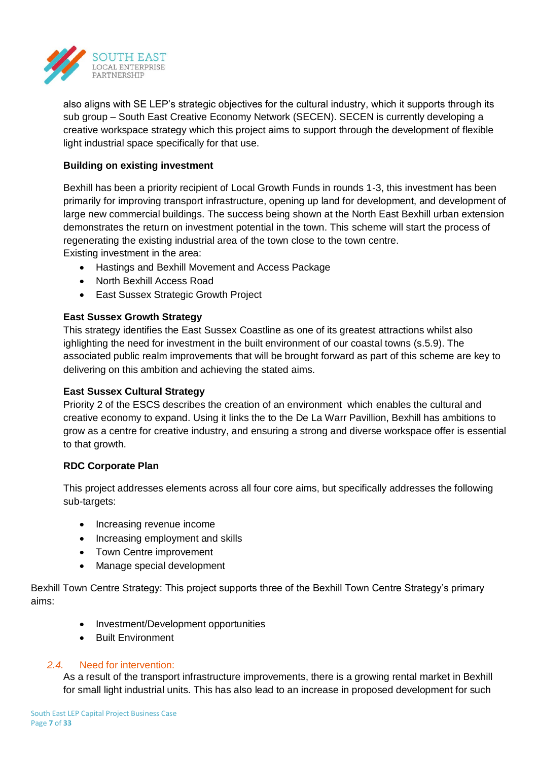

also aligns with SE LEP's strategic objectives for the cultural industry, which it supports through its sub group – South East Creative Economy Network (SECEN). SECEN is currently developing a creative workspace strategy which this project aims to support through the development of flexible light industrial space specifically for that use.

## **Building on existing investment**

Bexhill has been a priority recipient of Local Growth Funds in rounds 1-3, this investment has been primarily for improving transport infrastructure, opening up land for development, and development of large new commercial buildings. The success being shown at the North East Bexhill urban extension demonstrates the return on investment potential in the town. This scheme will start the process of regenerating the existing industrial area of the town close to the town centre. Existing investment in the area:

- Hastings and Bexhill Movement and Access Package
- North Bexhill Access Road
- East Sussex Strategic Growth Project

## **East Sussex Growth Strategy**

This strategy identifies the East Sussex Coastline as one of its greatest attractions whilst also ighlighting the need for investment in the built environment of our coastal towns (s.5.9). The associated public realm improvements that will be brought forward as part of this scheme are key to delivering on this ambition and achieving the stated aims.

## **East Sussex Cultural Strategy**

Priority 2 of the ESCS describes the creation of an environment which enables the cultural and creative economy to expand. Using it links the to the De La Warr Pavillion, Bexhill has ambitions to grow as a centre for creative industry, and ensuring a strong and diverse workspace offer is essential to that growth.

# **RDC Corporate Plan**

This project addresses elements across all four core aims, but specifically addresses the following sub-targets:

- Increasing revenue income
- Increasing employment and skills
- Town Centre improvement
- Manage special development

Bexhill Town Centre Strategy: This project supports three of the Bexhill Town Centre Strategy's primary aims:

- Investment/Development opportunities
- Built Environment

## *2.4.* Need for intervention:

As a result of the transport infrastructure improvements, there is a growing rental market in Bexhill for small light industrial units. This has also lead to an increase in proposed development for such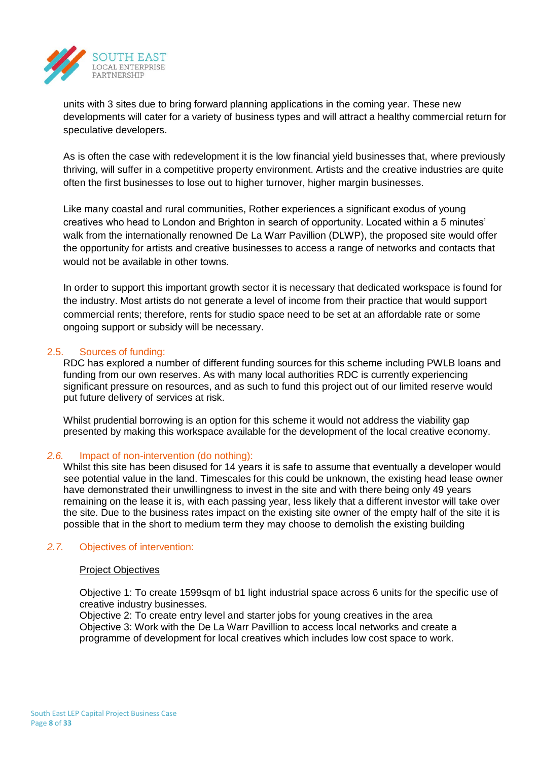

units with 3 sites due to bring forward planning applications in the coming year. These new developments will cater for a variety of business types and will attract a healthy commercial return for speculative developers.

As is often the case with redevelopment it is the low financial yield businesses that, where previously thriving, will suffer in a competitive property environment. Artists and the creative industries are quite often the first businesses to lose out to higher turnover, higher margin businesses.

Like many coastal and rural communities, Rother experiences a significant exodus of young creatives who head to London and Brighton in search of opportunity. Located within a 5 minutes' walk from the internationally renowned De La Warr Pavillion (DLWP), the proposed site would offer the opportunity for artists and creative businesses to access a range of networks and contacts that would not be available in other towns.

In order to support this important growth sector it is necessary that dedicated workspace is found for the industry. Most artists do not generate a level of income from their practice that would support commercial rents; therefore, rents for studio space need to be set at an affordable rate or some ongoing support or subsidy will be necessary.

## 2.5. Sources of funding:

RDC has explored a number of different funding sources for this scheme including PWLB loans and funding from our own reserves. As with many local authorities RDC is currently experiencing significant pressure on resources, and as such to fund this project out of our limited reserve would put future delivery of services at risk.

Whilst prudential borrowing is an option for this scheme it would not address the viability gap presented by making this workspace available for the development of the local creative economy.

## *2.6.* Impact of non-intervention (do nothing):

Whilst this site has been disused for 14 years it is safe to assume that eventually a developer would see potential value in the land. Timescales for this could be unknown, the existing head lease owner have demonstrated their unwillingness to invest in the site and with there being only 49 years remaining on the lease it is, with each passing year, less likely that a different investor will take over the site. Due to the business rates impact on the existing site owner of the empty half of the site it is possible that in the short to medium term they may choose to demolish the existing building

#### *2.7.* Objectives of intervention:

#### Project Objectives

Objective 1: To create 1599sqm of b1 light industrial space across 6 units for the specific use of creative industry businesses.

Objective 2: To create entry level and starter jobs for young creatives in the area Objective 3: Work with the De La Warr Pavillion to access local networks and create a programme of development for local creatives which includes low cost space to work.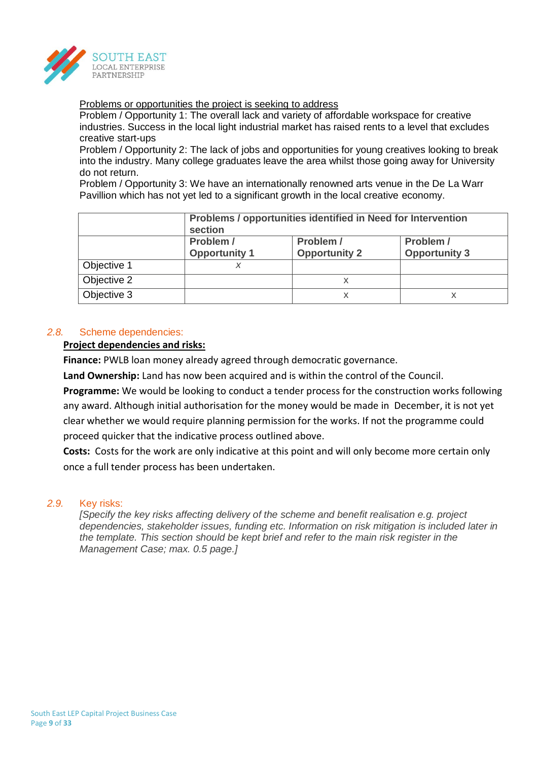

Problems or opportunities the project is seeking to address

Problem / Opportunity 1: The overall lack and variety of affordable workspace for creative industries. Success in the local light industrial market has raised rents to a level that excludes creative start-ups

Problem / Opportunity 2: The lack of jobs and opportunities for young creatives looking to break into the industry. Many college graduates leave the area whilst those going away for University do not return.

Problem / Opportunity 3: We have an internationally renowned arts venue in the De La Warr Pavillion which has not yet led to a significant growth in the local creative economy.

|             | Problems / opportunities identified in Need for Intervention<br>section                                     |   |  |  |  |  |
|-------------|-------------------------------------------------------------------------------------------------------------|---|--|--|--|--|
|             | Problem /<br>Problem /<br>Problem /<br><b>Opportunity 1</b><br><b>Opportunity 3</b><br><b>Opportunity 2</b> |   |  |  |  |  |
|             |                                                                                                             |   |  |  |  |  |
| Objective 1 |                                                                                                             |   |  |  |  |  |
| Objective 2 |                                                                                                             | х |  |  |  |  |
| Objective 3 |                                                                                                             | х |  |  |  |  |

## *2.8.* Scheme dependencies:

#### **Project dependencies and risks:**

**Finance:** PWLB loan money already agreed through democratic governance.

**Land Ownership:** Land has now been acquired and is within the control of the Council.

**Programme:** We would be looking to conduct a tender process for the construction works following any award. Although initial authorisation for the money would be made in December, it is not yet clear whether we would require planning permission for the works. If not the programme could proceed quicker that the indicative process outlined above.

**Costs:** Costs for the work are only indicative at this point and will only become more certain only once a full tender process has been undertaken.

### *2.9.* Key risks:

*[Specify the key risks affecting delivery of the scheme and benefit realisation e.g. project dependencies, stakeholder issues, funding etc. Information on risk mitigation is included later in the template. This section should be kept brief and refer to the main risk register in the Management Case; max. 0.5 page.]*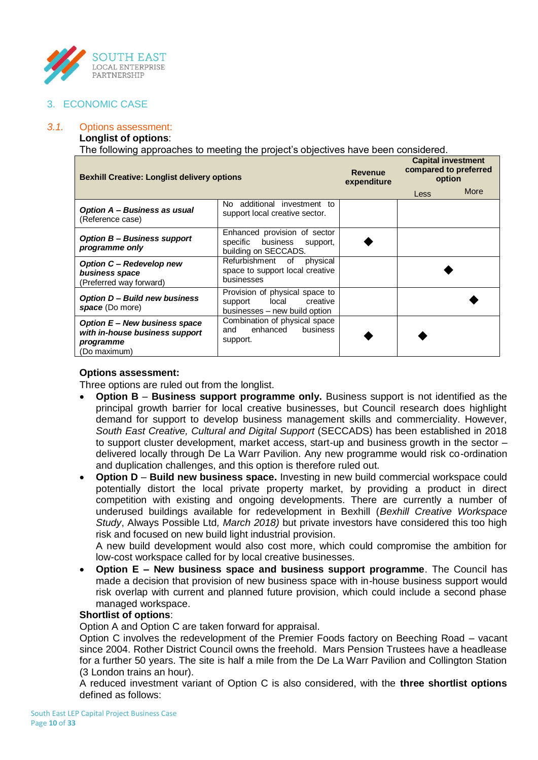

## 3. ECONOMIC CASE

## *3.1.* Options assessment:

## **Longlist of options**:

The following approaches to meeting the project's objectives have been considered.

| <b>Bexhill Creative: Longlist delivery options</b>                                           |                                                                                                 | <b>Revenue</b><br>expenditure | <b>Capital investment</b><br>compared to preferred<br>option |      |
|----------------------------------------------------------------------------------------------|-------------------------------------------------------------------------------------------------|-------------------------------|--------------------------------------------------------------|------|
|                                                                                              |                                                                                                 |                               | Less                                                         | More |
| Option A - Business as usual<br>(Reference case)                                             | No additional investment to<br>support local creative sector.                                   |                               |                                                              |      |
| <b>Option B- Business support</b><br>programme only                                          | Enhanced provision of sector<br>specific business<br>support,<br>building on SECCADS.           |                               |                                                              |      |
| <b>Option C - Redevelop new</b><br>business space<br>(Preferred way forward)                 | Refurbishment of physical<br>space to support local creative<br>businesses                      |                               |                                                              |      |
| <b>Option D- Build new business</b><br>space (Do more)                                       | Provision of physical space to<br>local<br>creative<br>support<br>businesses - new build option |                               |                                                              |      |
| Option E - New business space<br>with in-house business support<br>programme<br>(Do maximum) | Combination of physical space<br>enhanced<br>business<br>and<br>support.                        |                               |                                                              |      |

### **Options assessment:**

Three options are ruled out from the longlist.

- **Option B Business support programme only.** Business support is not identified as the principal growth barrier for local creative businesses, but Council research does highlight demand for support to develop business management skills and commerciality. However, *South East Creative, Cultural and Digital Support* (SECCADS) has been established in 2018 to support cluster development, market access, start-up and business growth in the sector – delivered locally through De La Warr Pavilion. Any new programme would risk co-ordination and duplication challenges, and this option is therefore ruled out.
- **Option D Build new business space.** Investing in new build commercial workspace could potentially distort the local private property market, by providing a product in direct competition with existing and ongoing developments. There are currently a number of underused buildings available for redevelopment in Bexhill (*Bexhill Creative Workspace Study*, Always Possible Ltd*, March 2018)* but private investors have considered this too high risk and focused on new build light industrial provision.

A new build development would also cost more, which could compromise the ambition for low-cost workspace called for by local creative businesses.

 **Option E – New business space and business support programme**. The Council has made a decision that provision of new business space with in-house business support would risk overlap with current and planned future provision, which could include a second phase managed workspace.

## **Shortlist of options**:

Option A and Option C are taken forward for appraisal.

Option C involves the redevelopment of the Premier Foods factory on Beeching Road – vacant since 2004. Rother District Council owns the freehold. Mars Pension Trustees have a headlease for a further 50 years. The site is half a mile from the De La Warr Pavilion and Collington Station (3 London trains an hour).

A reduced investment variant of Option C is also considered, with the **three shortlist options** defined as follows: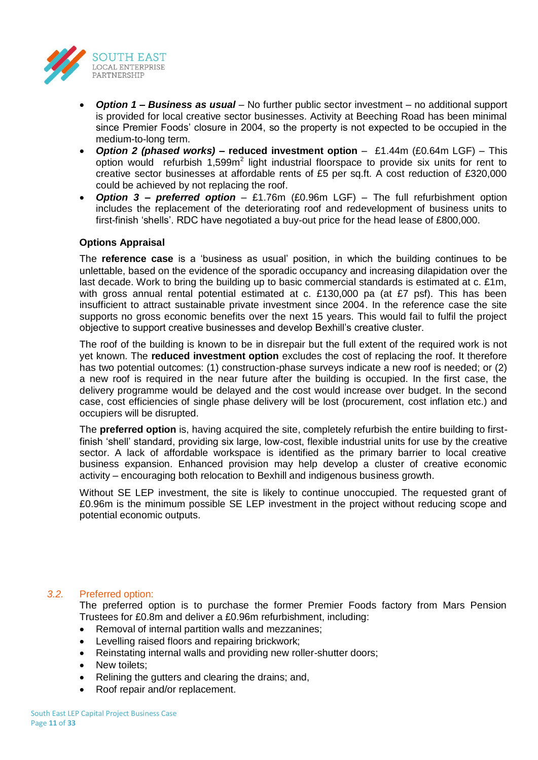

- *Option 1 – Business as usual* No further public sector investment no additional support is provided for local creative sector businesses. Activity at Beeching Road has been minimal since Premier Foods' closure in 2004, so the property is not expected to be occupied in the medium-to-long term.
- *Option 2 (phased works) –* **reduced investment option** £1.44m (£0.64m LGF) This option would refurbish  $1,599m^2$  light industrial floorspace to provide six units for rent to creative sector businesses at affordable rents of £5 per sq.ft. A cost reduction of £320,000 could be achieved by not replacing the roof.
- *Option 3 – preferred option* £1.76m (£0.96m LGF) The full refurbishment option includes the replacement of the deteriorating roof and redevelopment of business units to first-finish 'shells'. RDC have negotiated a buy-out price for the head lease of £800,000.

## **Options Appraisal**

The **reference case** is a 'business as usual' position, in which the building continues to be unlettable, based on the evidence of the sporadic occupancy and increasing dilapidation over the last decade. Work to bring the building up to basic commercial standards is estimated at c. £1m, with gross annual rental potential estimated at c. £130,000 pa (at £7 psf). This has been insufficient to attract sustainable private investment since 2004. In the reference case the site supports no gross economic benefits over the next 15 years. This would fail to fulfil the project objective to support creative businesses and develop Bexhill's creative cluster.

The roof of the building is known to be in disrepair but the full extent of the required work is not yet known. The **reduced investment option** excludes the cost of replacing the roof. It therefore has two potential outcomes: (1) construction-phase surveys indicate a new roof is needed; or (2) a new roof is required in the near future after the building is occupied. In the first case, the delivery programme would be delayed and the cost would increase over budget. In the second case, cost efficiencies of single phase delivery will be lost (procurement, cost inflation etc.) and occupiers will be disrupted.

The **preferred option** is, having acquired the site, completely refurbish the entire building to firstfinish 'shell' standard, providing six large, low-cost, flexible industrial units for use by the creative sector. A lack of affordable workspace is identified as the primary barrier to local creative business expansion. Enhanced provision may help develop a cluster of creative economic activity – encouraging both relocation to Bexhill and indigenous business growth.

Without SE LEP investment, the site is likely to continue unoccupied. The requested grant of £0.96m is the minimum possible SE LEP investment in the project without reducing scope and potential economic outputs.

## *3.2.* Preferred option:

The preferred option is to purchase the former Premier Foods factory from Mars Pension Trustees for £0.8m and deliver a £0.96m refurbishment, including:

- Removal of internal partition walls and mezzanines;
- Levelling raised floors and repairing brickwork;
- Reinstating internal walls and providing new roller-shutter doors;
- New toilets;
- Relining the gutters and clearing the drains; and,
- Roof repair and/or replacement.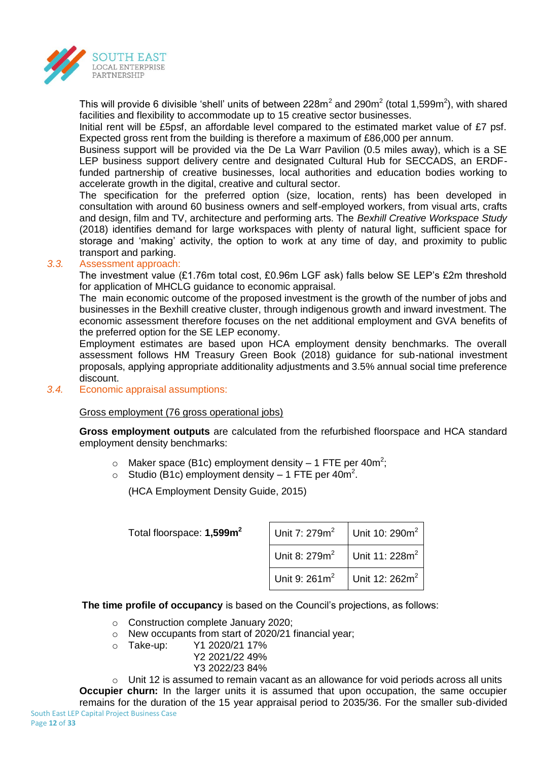

This will provide 6 divisible 'shell' units of between 228m<sup>2</sup> and 290m<sup>2</sup> (total 1,599m<sup>2</sup>), with shared facilities and flexibility to accommodate up to 15 creative sector businesses.

Initial rent will be £5psf, an affordable level compared to the estimated market value of £7 psf. Expected gross rent from the building is therefore a maximum of £86,000 per annum.

Business support will be provided via the De La Warr Pavilion (0.5 miles away), which is a SE LEP business support delivery centre and designated Cultural Hub for SECCADS, an ERDFfunded partnership of creative businesses, local authorities and education bodies working to accelerate growth in the digital, creative and cultural sector.

The specification for the preferred option (size, location, rents) has been developed in consultation with around 60 business owners and self-employed workers, from visual arts, crafts and design, film and TV, architecture and performing arts. The *Bexhill Creative Workspace Study* (2018) identifies demand for large workspaces with plenty of natural light, sufficient space for storage and 'making' activity, the option to work at any time of day, and proximity to public transport and parking.

## *3.3.* Assessment approach:

The investment value (£1.76m total cost, £0.96m LGF ask) falls below SE LEP's £2m threshold for application of MHCLG guidance to economic appraisal.

The main economic outcome of the proposed investment is the growth of the number of jobs and businesses in the Bexhill creative cluster, through indigenous growth and inward investment. The economic assessment therefore focuses on the net additional employment and GVA benefits of the preferred option for the SE LEP economy.

Employment estimates are based upon HCA employment density benchmarks. The overall assessment follows HM Treasury Green Book (2018) guidance for sub-national investment proposals, applying appropriate additionality adjustments and 3.5% annual social time preference discount.

*3.4.* Economic appraisal assumptions:

Gross employment (76 gross operational jobs)

**Gross employment outputs** are calculated from the refurbished floorspace and HCA standard employment density benchmarks:

- $\circ$  Maker space (B1c) employment density 1 FTE per 40m<sup>2</sup>;
- $\circ$  Studio (B1c) employment density 1 FTE per 40m<sup>2</sup>.

(HCA Employment Density Guide, 2015)

Total floorspace: **1,599m<sup>2</sup>**

| Unit 7: 279m <sup>2</sup> | Unit 10: 290m <sup>2</sup> |
|---------------------------|----------------------------|
| Unit 8: 279m <sup>2</sup> | Unit 11: 228m <sup>2</sup> |
| Unit 9: $261m^2$          | Unit 12: 262m <sup>2</sup> |

**The time profile of occupancy** is based on the Council's projections, as follows:

- o Construction complete January 2020;
- o New occupants from start of 2020/21 financial year;
- o Take-up: Y1 2020/21 17%
	- Y2 2021/22 49%
		- Y3 2022/23 84%

 $\circ$  Unit 12 is assumed to remain vacant as an allowance for void periods across all units **Occupier churn:** In the larger units it is assumed that upon occupation, the same occupier remains for the duration of the 15 year appraisal period to 2035/36. For the smaller sub-divided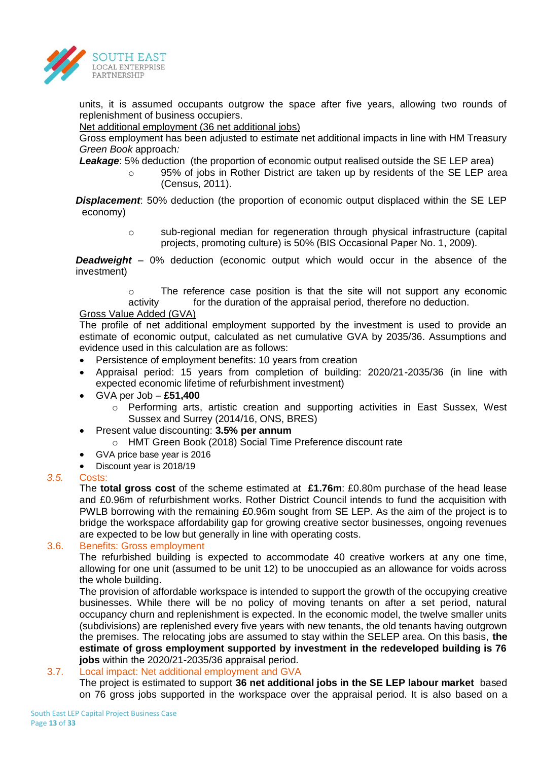

units, it is assumed occupants outgrow the space after five years, allowing two rounds of replenishment of business occupiers.

#### Net additional employment (36 net additional jobs)

Gross employment has been adjusted to estimate net additional impacts in line with HM Treasury *Green Book* approach*:*

**Leakage:** 5% deduction (the proportion of economic output realised outside the SE LEP area)

o 95% of jobs in Rother District are taken up by residents of the SE LEP area (Census, 2011).

**Displacement**: 50% deduction (the proportion of economic output displaced within the SE LEP economy)

> o sub-regional median for regeneration through physical infrastructure (capital projects, promoting culture) is 50% (BIS Occasional Paper No. 1, 2009).

**Deadweight** – 0% deduction (economic output which would occur in the absence of the investment)

> o The reference case position is that the site will not support any economic activity for the duration of the appraisal period, therefore no deduction.

### Gross Value Added (GVA)

The profile of net additional employment supported by the investment is used to provide an estimate of economic output, calculated as net cumulative GVA by 2035/36. Assumptions and evidence used in this calculation are as follows:

- Persistence of employment benefits: 10 years from creation
- Appraisal period: 15 years from completion of building: 2020/21-2035/36 (in line with expected economic lifetime of refurbishment investment)
- GVA per Job **£51,400**
	- $\circ$  Performing arts, artistic creation and supporting activities in East Sussex, West Sussex and Surrey (2014/16, ONS, BRES)
- Present value discounting: **3.5% per annum**
	- o HMT Green Book (2018) Social Time Preference discount rate
- GVA price base year is 2016
- Discount year is 2018/19

#### *3.5.* Costs:

The **total gross cost** of the scheme estimated at **£1.76m**: £0.80m purchase of the head lease and £0.96m of refurbishment works. Rother District Council intends to fund the acquisition with PWLB borrowing with the remaining £0.96m sought from SE LEP. As the aim of the project is to bridge the workspace affordability gap for growing creative sector businesses, ongoing revenues are expected to be low but generally in line with operating costs.

#### 3.6. Benefits: Gross employment

The refurbished building is expected to accommodate 40 creative workers at any one time, allowing for one unit (assumed to be unit 12) to be unoccupied as an allowance for voids across the whole building.

The provision of affordable workspace is intended to support the growth of the occupying creative businesses. While there will be no policy of moving tenants on after a set period, natural occupancy churn and replenishment is expected. In the economic model, the twelve smaller units (subdivisions) are replenished every five years with new tenants, the old tenants having outgrown the premises. The relocating jobs are assumed to stay within the SELEP area. On this basis, **the estimate of gross employment supported by investment in the redeveloped building is 76 jobs** within the 2020/21-2035/36 appraisal period.

## 3.7. Local impact: Net additional employment and GVA

The project is estimated to support **36 net additional jobs in the SE LEP labour market** based on 76 gross jobs supported in the workspace over the appraisal period. It is also based on a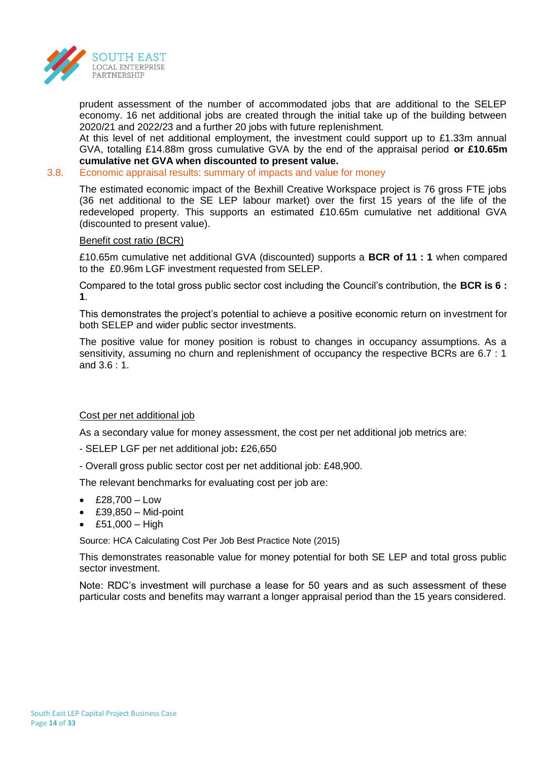

prudent assessment of the number of accommodated jobs that are additional to the SELEP economy. 16 net additional jobs are created through the initial take up of the building between 2020/21 and 2022/23 and a further 20 jobs with future replenishment.

At this level of net additional employment, the investment could support up to £1.33m annual GVA, totalling £14.88m gross cumulative GVA by the end of the appraisal period **or £10.65m cumulative net GVA when discounted to present value.** 

#### 3.8. Economic appraisal results: summary of impacts and value for money

The estimated economic impact of the Bexhill Creative Workspace project is 76 gross FTE jobs (36 net additional to the SE LEP labour market) over the first 15 years of the life of the redeveloped property. This supports an estimated £10.65m cumulative net additional GVA (discounted to present value).

### Benefit cost ratio (BCR)

£10.65m cumulative net additional GVA (discounted) supports a **BCR of 11 : 1** when compared to the £0.96m LGF investment requested from SELEP.

Compared to the total gross public sector cost including the Council's contribution, the **BCR is 6 : 1**.

This demonstrates the project's potential to achieve a positive economic return on investment for both SELEP and wider public sector investments.

The positive value for money position is robust to changes in occupancy assumptions. As a sensitivity, assuming no churn and replenishment of occupancy the respective BCRs are 6.7 : 1 and  $3.6 \cdot 1$ .

## Cost per net additional job

As a secondary value for money assessment, the cost per net additional job metrics are:

- SELEP LGF per net additional job**:** £26,650
- Overall gross public sector cost per net additional job: £48,900.

The relevant benchmarks for evaluating cost per job are:

- $\text{£}28.700 \text{Low}$
- $\textdegree$  £39,850 Mid-point
- £51,000 High

Source: HCA Calculating Cost Per Job Best Practice Note (2015)

This demonstrates reasonable value for money potential for both SE LEP and total gross public sector investment.

Note: RDC's investment will purchase a lease for 50 years and as such assessment of these particular costs and benefits may warrant a longer appraisal period than the 15 years considered.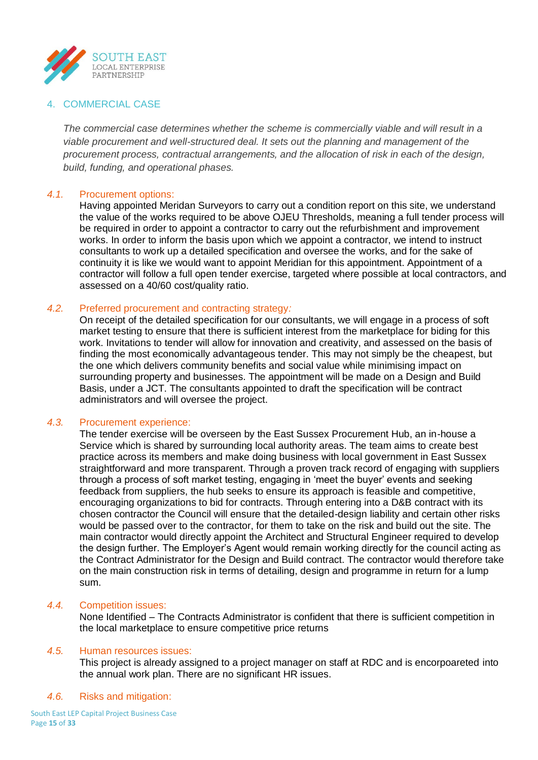

### 4. COMMERCIAL CASE

*The commercial case determines whether the scheme is commercially viable and will result in a viable procurement and well-structured deal. It sets out the planning and management of the procurement process, contractual arrangements, and the allocation of risk in each of the design, build, funding, and operational phases.*

#### *4.1.* Procurement options:

Having appointed Meridan Surveyors to carry out a condition report on this site, we understand the value of the works required to be above OJEU Thresholds, meaning a full tender process will be required in order to appoint a contractor to carry out the refurbishment and improvement works. In order to inform the basis upon which we appoint a contractor, we intend to instruct consultants to work up a detailed specification and oversee the works, and for the sake of continuity it is like we would want to appoint Meridian for this appointment. Appointment of a contractor will follow a full open tender exercise, targeted where possible at local contractors, and assessed on a 40/60 cost/quality ratio.

### *4.2.* Preferred procurement and contracting strategy*:*

On receipt of the detailed specification for our consultants, we will engage in a process of soft market testing to ensure that there is sufficient interest from the marketplace for biding for this work. Invitations to tender will allow for innovation and creativity, and assessed on the basis of finding the most economically advantageous tender. This may not simply be the cheapest, but the one which delivers community benefits and social value while minimising impact on surrounding property and businesses. The appointment will be made on a Design and Build Basis, under a JCT. The consultants appointed to draft the specification will be contract administrators and will oversee the project.

#### *4.3.* Procurement experience:

The tender exercise will be overseen by the East Sussex Procurement Hub, an in-house a Service which is shared by surrounding local authority areas. The team aims to create best practice across its members and make doing business with local government in East Sussex straightforward and more transparent. Through a proven track record of engaging with suppliers through a process of soft market testing, engaging in 'meet the buyer' events and seeking feedback from suppliers, the hub seeks to ensure its approach is feasible and competitive, encouraging organizations to bid for contracts. Through entering into a D&B contract with its chosen contractor the Council will ensure that the detailed-design liability and certain other risks would be passed over to the contractor, for them to take on the risk and build out the site. The main contractor would directly appoint the Architect and Structural Engineer required to develop the design further. The Employer's Agent would remain working directly for the council acting as the Contract Administrator for the Design and Build contract. The contractor would therefore take on the main construction risk in terms of detailing, design and programme in return for a lump sum.

#### *4.4.* Competition issues:

None Identified – The Contracts Administrator is confident that there is sufficient competition in the local marketplace to ensure competitive price returns

#### *4.5.* Human resources issues:

This project is already assigned to a project manager on staff at RDC and is encorpoareted into the annual work plan. There are no significant HR issues.

#### *4.6.* Risks and mitigation: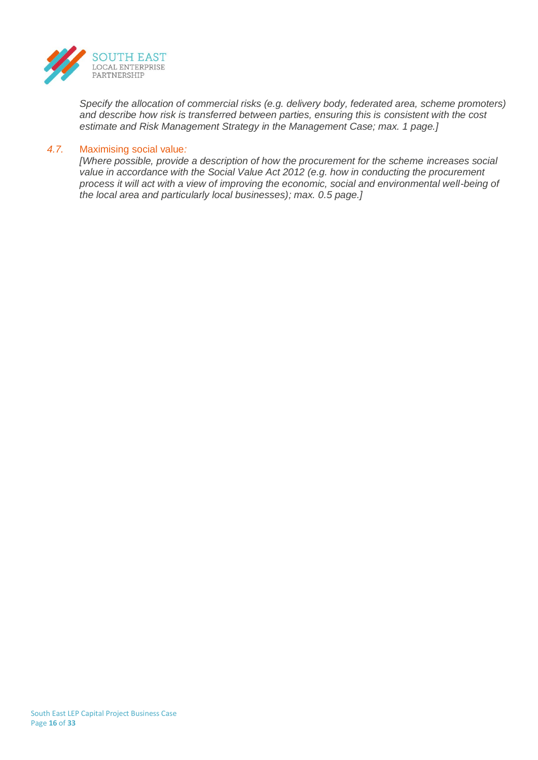

*Specify the allocation of commercial risks (e.g. delivery body, federated area, scheme promoters) and describe how risk is transferred between parties, ensuring this is consistent with the cost estimate and Risk Management Strategy in the Management Case; max. 1 page.]*

#### *4.7.* Maximising social value*:*

*[Where possible, provide a description of how the procurement for the scheme increases social value in accordance with the Social Value Act 2012 (e.g. how in conducting the procurement process it will act with a view of improving the economic, social and environmental well-being of the local area and particularly local businesses); max. 0.5 page.]*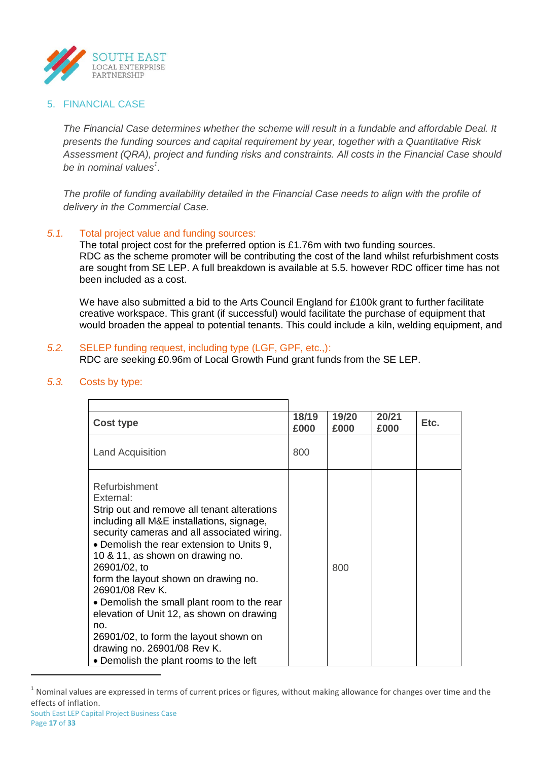

## 5. FINANCIAL CASE

*The Financial Case determines whether the scheme will result in a fundable and affordable Deal. It presents the funding sources and capital requirement by year, together with a Quantitative Risk Assessment (QRA), project and funding risks and constraints. All costs in the Financial Case should be in nominal values<sup>1</sup> .*

*The profile of funding availability detailed in the Financial Case needs to align with the profile of delivery in the Commercial Case.*

## *5.1.* Total project value and funding sources:

The total project cost for the preferred option is £1.76m with two funding sources. RDC as the scheme promoter will be contributing the cost of the land whilst refurbishment costs are sought from SE LEP. A full breakdown is available at 5.5. however RDC officer time has not been included as a cost.

We have also submitted a bid to the Arts Council England for £100k grant to further facilitate creative workspace. This grant (if successful) would facilitate the purchase of equipment that would broaden the appeal to potential tenants. This could include a kiln, welding equipment, and

#### *5.2.* SELEP funding request, including type (LGF, GPF, etc.,): RDC are seeking £0.96m of Local Growth Fund grant funds from the SE LEP.

| <b>Cost type</b>                                                                                                                                                                                                                                                                                                                                                                                                                                                                                                                                                   | 18/19<br>£000 | 19/20<br>£000 | 20/21<br>£000 | Etc. |
|--------------------------------------------------------------------------------------------------------------------------------------------------------------------------------------------------------------------------------------------------------------------------------------------------------------------------------------------------------------------------------------------------------------------------------------------------------------------------------------------------------------------------------------------------------------------|---------------|---------------|---------------|------|
| <b>Land Acquisition</b>                                                                                                                                                                                                                                                                                                                                                                                                                                                                                                                                            | 800           |               |               |      |
| Refurbishment<br>Fxternal <sup>.</sup><br>Strip out and remove all tenant alterations<br>including all M&E installations, signage,<br>security cameras and all associated wiring.<br>• Demolish the rear extension to Units 9,<br>10 & 11, as shown on drawing no.<br>26901/02, to<br>form the layout shown on drawing no.<br>26901/08 Rev K.<br>• Demolish the small plant room to the rear<br>elevation of Unit 12, as shown on drawing<br>no.<br>26901/02, to form the layout shown on<br>drawing no. 26901/08 Rev K.<br>• Demolish the plant rooms to the left |               | 800           |               |      |

### *5.3.* Costs by type:

**.** 

 $1$  Nominal values are expressed in terms of current prices or figures, without making allowance for changes over time and the effects of inflation.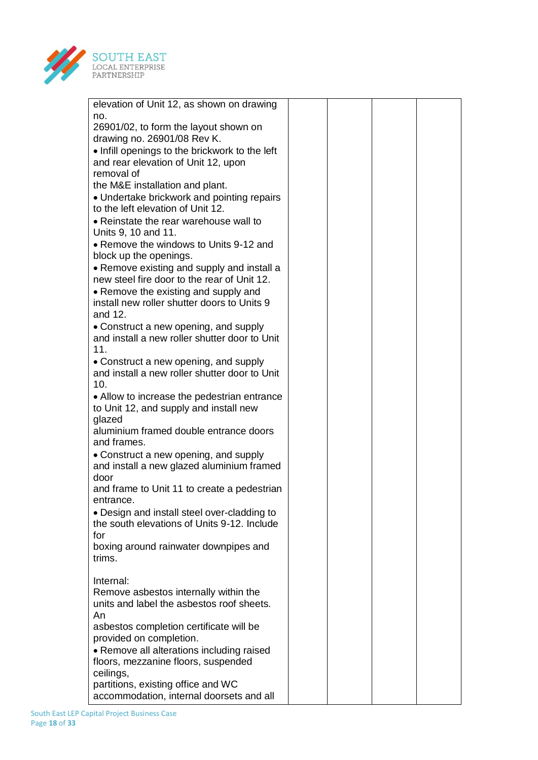

| elevation of Unit 12, as shown on drawing                                                  |  |
|--------------------------------------------------------------------------------------------|--|
| no.                                                                                        |  |
| 26901/02, to form the layout shown on                                                      |  |
| drawing no. 26901/08 Rev K.                                                                |  |
| . Infill openings to the brickwork to the left                                             |  |
| and rear elevation of Unit 12, upon                                                        |  |
| removal of                                                                                 |  |
| the M&E installation and plant.                                                            |  |
| • Undertake brickwork and pointing repairs                                                 |  |
| to the left elevation of Unit 12.                                                          |  |
| • Reinstate the rear warehouse wall to                                                     |  |
| Units 9, 10 and 11.                                                                        |  |
| • Remove the windows to Units 9-12 and                                                     |  |
| block up the openings.                                                                     |  |
| • Remove existing and supply and install a                                                 |  |
| new steel fire door to the rear of Unit 12.                                                |  |
| • Remove the existing and supply and                                                       |  |
| install new roller shutter doors to Units 9                                                |  |
| and 12.                                                                                    |  |
| • Construct a new opening, and supply<br>and install a new roller shutter door to Unit     |  |
| 11.                                                                                        |  |
| • Construct a new opening, and supply                                                      |  |
| and install a new roller shutter door to Unit                                              |  |
| 10.                                                                                        |  |
| • Allow to increase the pedestrian entrance                                                |  |
| to Unit 12, and supply and install new                                                     |  |
| glazed                                                                                     |  |
| aluminium framed double entrance doors                                                     |  |
| and frames.                                                                                |  |
| • Construct a new opening, and supply                                                      |  |
| and install a new glazed aluminium framed                                                  |  |
| door                                                                                       |  |
| and frame to Unit 11 to create a pedestrian                                                |  |
| entrance.                                                                                  |  |
| • Design and install steel over-cladding to<br>the south elevations of Units 9-12. Include |  |
| for                                                                                        |  |
| boxing around rainwater downpipes and                                                      |  |
| trims.                                                                                     |  |
|                                                                                            |  |
| Internal:                                                                                  |  |
| Remove asbestos internally within the                                                      |  |
| units and label the asbestos roof sheets.                                                  |  |
| An                                                                                         |  |
| asbestos completion certificate will be                                                    |  |
| provided on completion.                                                                    |  |
| • Remove all alterations including raised                                                  |  |
| floors, mezzanine floors, suspended                                                        |  |
| ceilings,                                                                                  |  |
| partitions, existing office and WC                                                         |  |
| accommodation, internal doorsets and all                                                   |  |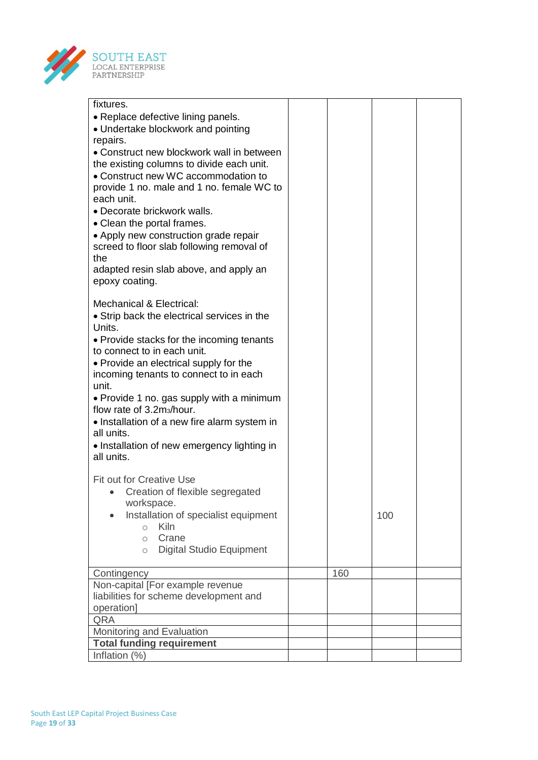

| fixtures.                                                                        |     |     |  |
|----------------------------------------------------------------------------------|-----|-----|--|
| • Replace defective lining panels.                                               |     |     |  |
| • Undertake blockwork and pointing                                               |     |     |  |
| repairs.                                                                         |     |     |  |
| • Construct new blockwork wall in between                                        |     |     |  |
| the existing columns to divide each unit.<br>• Construct new WC accommodation to |     |     |  |
| provide 1 no. male and 1 no. female WC to                                        |     |     |  |
| each unit.                                                                       |     |     |  |
| • Decorate brickwork walls.                                                      |     |     |  |
| • Clean the portal frames.                                                       |     |     |  |
| • Apply new construction grade repair                                            |     |     |  |
| screed to floor slab following removal of                                        |     |     |  |
| the                                                                              |     |     |  |
| adapted resin slab above, and apply an                                           |     |     |  |
| epoxy coating.                                                                   |     |     |  |
|                                                                                  |     |     |  |
| <b>Mechanical &amp; Electrical:</b>                                              |     |     |  |
| • Strip back the electrical services in the                                      |     |     |  |
| Units.                                                                           |     |     |  |
| • Provide stacks for the incoming tenants<br>to connect to in each unit.         |     |     |  |
| • Provide an electrical supply for the                                           |     |     |  |
| incoming tenants to connect to in each                                           |     |     |  |
| unit.                                                                            |     |     |  |
| • Provide 1 no. gas supply with a minimum                                        |     |     |  |
| flow rate of 3.2m <sub>3</sub> /hour.                                            |     |     |  |
| • Installation of a new fire alarm system in                                     |     |     |  |
| all units.                                                                       |     |     |  |
| • Installation of new emergency lighting in                                      |     |     |  |
| all units.                                                                       |     |     |  |
| <b>Fit out for Creative Use</b>                                                  |     |     |  |
| Creation of flexible segregated                                                  |     |     |  |
| workspace.                                                                       |     |     |  |
| Installation of specialist equipment                                             |     | 100 |  |
| <b>Kiln</b><br>$\circ$                                                           |     |     |  |
| Crane<br>$\circ$                                                                 |     |     |  |
| <b>Digital Studio Equipment</b><br>$\circ$                                       |     |     |  |
|                                                                                  |     |     |  |
| Contingency                                                                      | 160 |     |  |
| Non-capital [For example revenue                                                 |     |     |  |
| liabilities for scheme development and                                           |     |     |  |
| operation]<br>QRA                                                                |     |     |  |
| Monitoring and Evaluation                                                        |     |     |  |
| <b>Total funding requirement</b>                                                 |     |     |  |
| Inflation (%)                                                                    |     |     |  |
|                                                                                  |     |     |  |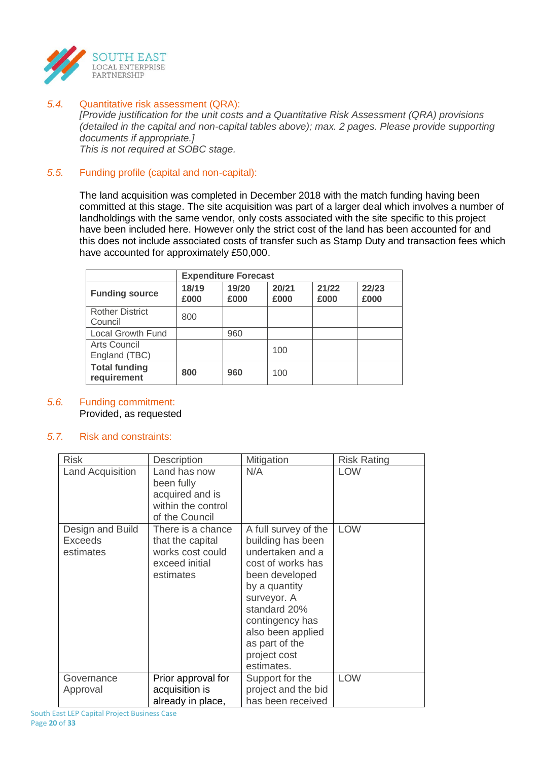

*5.4.* Quantitative risk assessment (QRA):

*[Provide justification for the unit costs and a Quantitative Risk Assessment (QRA) provisions (detailed in the capital and non-capital tables above); max. 2 pages. Please provide supporting documents if appropriate.]*

*This is not required at SOBC stage.*

## *5.5.* Funding profile (capital and non-capital):

The land acquisition was completed in December 2018 with the match funding having been committed at this stage. The site acquisition was part of a larger deal which involves a number of landholdings with the same vendor, only costs associated with the site specific to this project have been included here. However only the strict cost of the land has been accounted for and this does not include associated costs of transfer such as Stamp Duty and transaction fees which have accounted for approximately £50,000.

|                                     | <b>Expenditure Forecast</b> |               |               |               |               |
|-------------------------------------|-----------------------------|---------------|---------------|---------------|---------------|
| <b>Funding source</b>               | 18/19<br>£000               | 19/20<br>£000 | 20/21<br>£000 | 21/22<br>£000 | 22/23<br>£000 |
| <b>Rother District</b><br>Council   | 800                         |               |               |               |               |
| <b>Local Growth Fund</b>            |                             | 960           |               |               |               |
| Arts Council<br>England (TBC)       |                             |               | 100           |               |               |
| <b>Total funding</b><br>requirement | 800                         | 960           | 100           |               |               |

## *5.6.* Funding commitment: Provided, as requested

## *5.7.* Risk and constraints:

| <b>Risk</b>                                     | Description                                                                              | Mitigation                                                                                                                                                                                                                                   | <b>Risk Rating</b> |
|-------------------------------------------------|------------------------------------------------------------------------------------------|----------------------------------------------------------------------------------------------------------------------------------------------------------------------------------------------------------------------------------------------|--------------------|
| <b>Land Acquisition</b>                         | Land has now<br>been fully<br>acquired and is<br>within the control<br>of the Council    | N/A                                                                                                                                                                                                                                          | <b>LOW</b>         |
| Design and Build<br><b>Exceeds</b><br>estimates | There is a chance<br>that the capital<br>works cost could<br>exceed initial<br>estimates | A full survey of the<br>building has been<br>undertaken and a<br>cost of works has<br>been developed<br>by a quantity<br>surveyor. A<br>standard 20%<br>contingency has<br>also been applied<br>as part of the<br>project cost<br>estimates. | <b>LOW</b>         |
| Governance<br>Approval                          | Prior approval for<br>acquisition is<br>already in place,                                | Support for the<br>project and the bid<br>has been received                                                                                                                                                                                  | <b>LOW</b>         |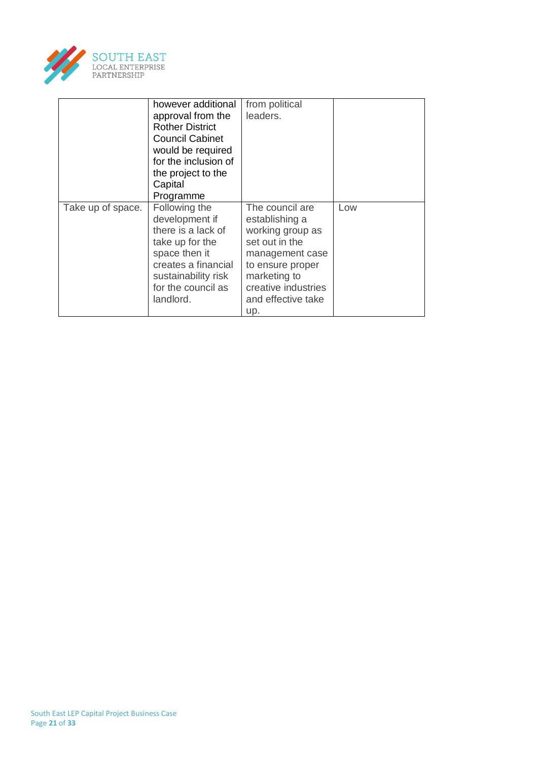

|                   | however additional<br>approval from the<br><b>Rother District</b><br><b>Council Cabinet</b><br>would be required<br>for the inclusion of<br>the project to the<br>Capital<br>Programme | from political<br>leaders.                                                                                                                                                         |     |
|-------------------|----------------------------------------------------------------------------------------------------------------------------------------------------------------------------------------|------------------------------------------------------------------------------------------------------------------------------------------------------------------------------------|-----|
| Take up of space. | Following the<br>development if<br>there is a lack of<br>take up for the<br>space then it<br>creates a financial<br>sustainability risk<br>for the council as<br>landlord.             | The council are<br>establishing a<br>working group as<br>set out in the<br>management case<br>to ensure proper<br>marketing to<br>creative industries<br>and effective take<br>up. | Low |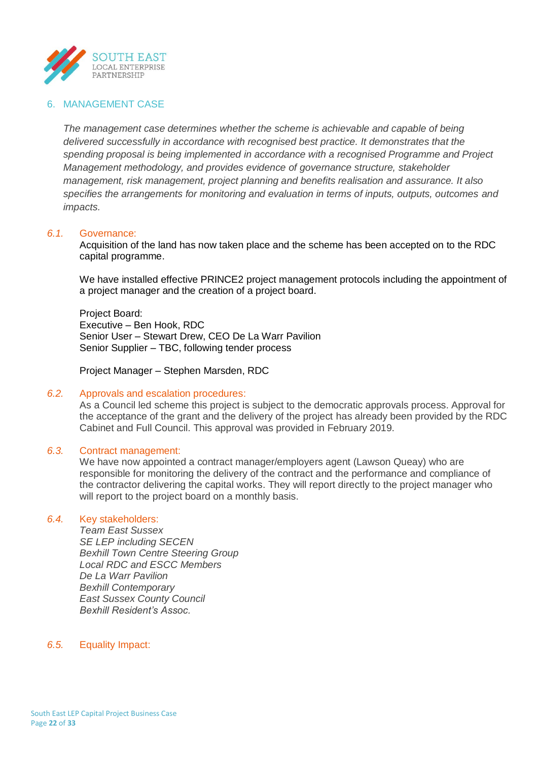

### 6. MANAGEMENT CASE

*The management case determines whether the scheme is achievable and capable of being delivered successfully in accordance with recognised best practice. It demonstrates that the spending proposal is being implemented in accordance with a recognised Programme and Project Management methodology, and provides evidence of governance structure, stakeholder management, risk management, project planning and benefits realisation and assurance. It also specifies the arrangements for monitoring and evaluation in terms of inputs, outputs, outcomes and impacts.*

#### *6.1.* Governance:

Acquisition of the land has now taken place and the scheme has been accepted on to the RDC capital programme.

We have installed effective PRINCE2 project management protocols including the appointment of a project manager and the creation of a project board.

Project Board: Executive – Ben Hook, RDC Senior User – Stewart Drew, CEO De La Warr Pavilion Senior Supplier – TBC, following tender process

Project Manager – Stephen Marsden, RDC

#### *6.2.* Approvals and escalation procedures:

As a Council led scheme this project is subject to the democratic approvals process. Approval for the acceptance of the grant and the delivery of the project has already been provided by the RDC Cabinet and Full Council. This approval was provided in February 2019.

#### *6.3.* Contract management:

We have now appointed a contract manager/employers agent (Lawson Queay) who are responsible for monitoring the delivery of the contract and the performance and compliance of the contractor delivering the capital works. They will report directly to the project manager who will report to the project board on a monthly basis.

#### *6.4.* Key stakeholders:

*Team East Sussex SE LEP including SECEN Bexhill Town Centre Steering Group Local RDC and ESCC Members De La Warr Pavilion Bexhill Contemporary East Sussex County Council Bexhill Resident's Assoc.*

#### *6.5.* Equality Impact: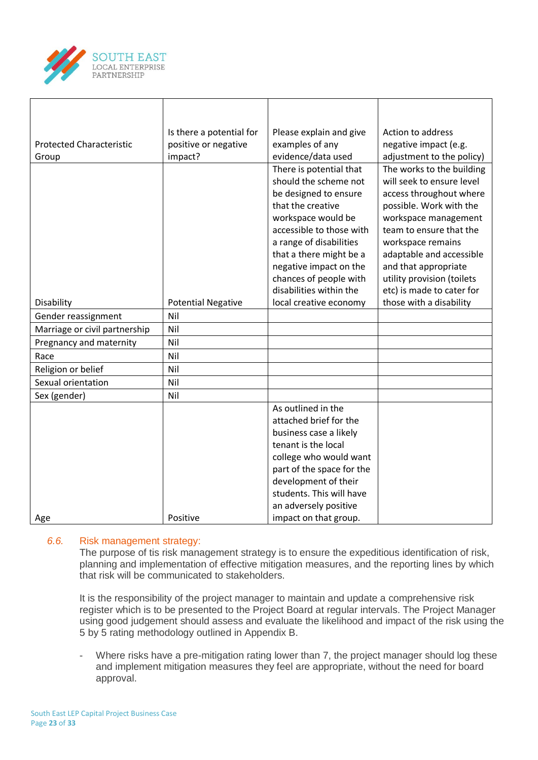

| <b>Protected Characteristic</b> | Is there a potential for<br>positive or negative | Please explain and give<br>examples of any                                                                                                                                                                                                                 | Action to address<br>negative impact (e.g.                                                                                                                                                                                                                             |
|---------------------------------|--------------------------------------------------|------------------------------------------------------------------------------------------------------------------------------------------------------------------------------------------------------------------------------------------------------------|------------------------------------------------------------------------------------------------------------------------------------------------------------------------------------------------------------------------------------------------------------------------|
| Group                           | impact?                                          | evidence/data used                                                                                                                                                                                                                                         | adjustment to the policy)                                                                                                                                                                                                                                              |
|                                 |                                                  | There is potential that<br>should the scheme not<br>be designed to ensure<br>that the creative<br>workspace would be<br>accessible to those with<br>a range of disabilities<br>that a there might be a<br>negative impact on the<br>chances of people with | The works to the building<br>will seek to ensure level<br>access throughout where<br>possible. Work with the<br>workspace management<br>team to ensure that the<br>workspace remains<br>adaptable and accessible<br>and that appropriate<br>utility provision (toilets |
|                                 |                                                  | disabilities within the                                                                                                                                                                                                                                    | etc) is made to cater for                                                                                                                                                                                                                                              |
| Disability                      | <b>Potential Negative</b>                        | local creative economy                                                                                                                                                                                                                                     | those with a disability                                                                                                                                                                                                                                                |
| Gender reassignment             | Nil                                              |                                                                                                                                                                                                                                                            |                                                                                                                                                                                                                                                                        |
| Marriage or civil partnership   | Nil                                              |                                                                                                                                                                                                                                                            |                                                                                                                                                                                                                                                                        |
| Pregnancy and maternity         | Nil                                              |                                                                                                                                                                                                                                                            |                                                                                                                                                                                                                                                                        |
| Race                            | Nil                                              |                                                                                                                                                                                                                                                            |                                                                                                                                                                                                                                                                        |
| Religion or belief              | Nil                                              |                                                                                                                                                                                                                                                            |                                                                                                                                                                                                                                                                        |
| Sexual orientation              | Nil                                              |                                                                                                                                                                                                                                                            |                                                                                                                                                                                                                                                                        |
| Sex (gender)                    | Nil                                              |                                                                                                                                                                                                                                                            |                                                                                                                                                                                                                                                                        |
|                                 |                                                  | As outlined in the                                                                                                                                                                                                                                         |                                                                                                                                                                                                                                                                        |
|                                 |                                                  | attached brief for the                                                                                                                                                                                                                                     |                                                                                                                                                                                                                                                                        |
|                                 |                                                  | business case a likely<br>tenant is the local                                                                                                                                                                                                              |                                                                                                                                                                                                                                                                        |
|                                 |                                                  | college who would want                                                                                                                                                                                                                                     |                                                                                                                                                                                                                                                                        |
|                                 |                                                  | part of the space for the                                                                                                                                                                                                                                  |                                                                                                                                                                                                                                                                        |
|                                 |                                                  | development of their                                                                                                                                                                                                                                       |                                                                                                                                                                                                                                                                        |
|                                 |                                                  | students. This will have                                                                                                                                                                                                                                   |                                                                                                                                                                                                                                                                        |
|                                 |                                                  | an adversely positive                                                                                                                                                                                                                                      |                                                                                                                                                                                                                                                                        |
| Age                             | Positive                                         | impact on that group.                                                                                                                                                                                                                                      |                                                                                                                                                                                                                                                                        |

## *6.6.* Risk management strategy:

The purpose of tis risk management strategy is to ensure the expeditious identification of risk, planning and implementation of effective mitigation measures, and the reporting lines by which that risk will be communicated to stakeholders.

It is the responsibility of the project manager to maintain and update a comprehensive risk register which is to be presented to the Project Board at regular intervals. The Project Manager using good judgement should assess and evaluate the likelihood and impact of the risk using the 5 by 5 rating methodology outlined in Appendix B.

- Where risks have a pre-mitigation rating lower than 7, the project manager should log these and implement mitigation measures they feel are appropriate, without the need for board approval.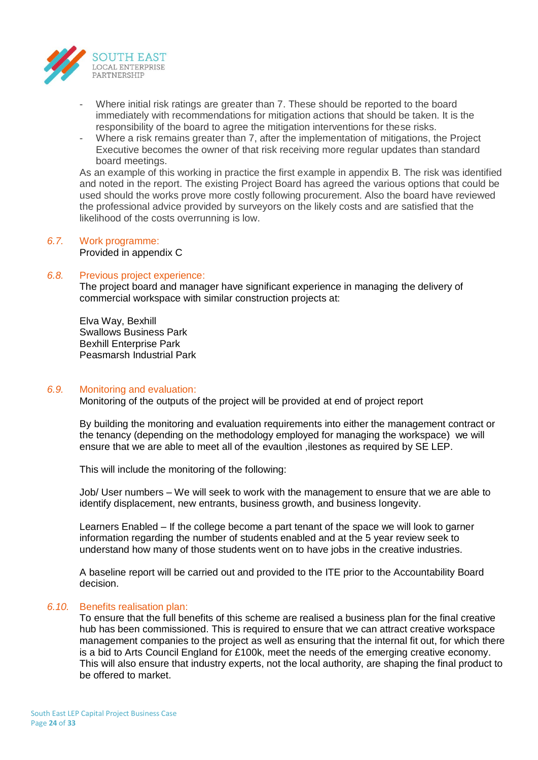

- Where initial risk ratings are greater than 7. These should be reported to the board immediately with recommendations for mitigation actions that should be taken. It is the responsibility of the board to agree the mitigation interventions for these risks.
- Where a risk remains greater than 7, after the implementation of mitigations, the Project Executive becomes the owner of that risk receiving more regular updates than standard board meetings.

As an example of this working in practice the first example in appendix B. The risk was identified and noted in the report. The existing Project Board has agreed the various options that could be used should the works prove more costly following procurement. Also the board have reviewed the professional advice provided by surveyors on the likely costs and are satisfied that the likelihood of the costs overrunning is low.

#### *6.7.* Work programme: Provided in appendix C

#### *6.8.* Previous project experience:

The project board and manager have significant experience in managing the delivery of commercial workspace with similar construction projects at:

Elva Way, Bexhill Swallows Business Park Bexhill Enterprise Park Peasmarsh Industrial Park

#### *6.9.* Monitoring and evaluation:

Monitoring of the outputs of the project will be provided at end of project report

By building the monitoring and evaluation requirements into either the management contract or the tenancy (depending on the methodology employed for managing the workspace) we will ensure that we are able to meet all of the evaultion ,ilestones as required by SE LEP.

This will include the monitoring of the following:

Job/ User numbers – We will seek to work with the management to ensure that we are able to identify displacement, new entrants, business growth, and business longevity.

Learners Enabled – If the college become a part tenant of the space we will look to garner information regarding the number of students enabled and at the 5 year review seek to understand how many of those students went on to have jobs in the creative industries.

A baseline report will be carried out and provided to the ITE prior to the Accountability Board decision.

#### *6.10.* Benefits realisation plan:

To ensure that the full benefits of this scheme are realised a business plan for the final creative hub has been commissioned. This is required to ensure that we can attract creative workspace management companies to the project as well as ensuring that the internal fit out, for which there is a bid to Arts Council England for £100k, meet the needs of the emerging creative economy. This will also ensure that industry experts, not the local authority, are shaping the final product to be offered to market.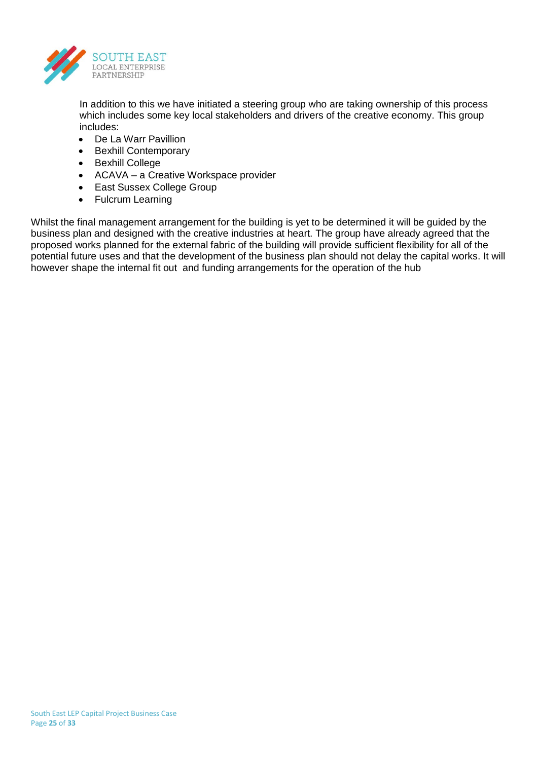

In addition to this we have initiated a steering group who are taking ownership of this process which includes some key local stakeholders and drivers of the creative economy. This group includes:

- De La Warr Pavillion
- Bexhill Contemporary
- **•** Bexhill College
- ACAVA a Creative Workspace provider
- East Sussex College Group
- Fulcrum Learning

Whilst the final management arrangement for the building is yet to be determined it will be guided by the business plan and designed with the creative industries at heart. The group have already agreed that the proposed works planned for the external fabric of the building will provide sufficient flexibility for all of the potential future uses and that the development of the business plan should not delay the capital works. It will however shape the internal fit out and funding arrangements for the operation of the hub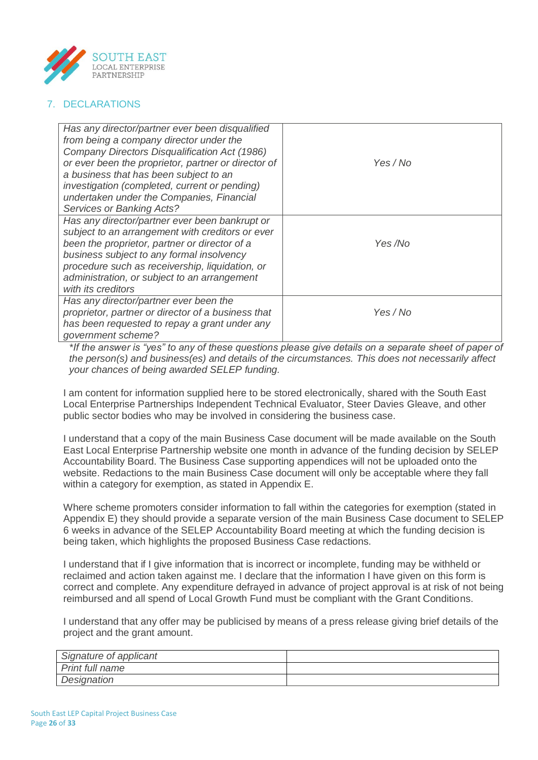

# 7. DECLARATIONS

| Has any director/partner ever been disqualified<br>from being a company director under the<br>Company Directors Disqualification Act (1986)<br>or ever been the proprietor, partner or director of<br>a business that has been subject to an<br><i>investigation (completed, current or pending)</i><br>undertaken under the Companies, Financial<br><b>Services or Banking Acts?</b> | Yes/No   |
|---------------------------------------------------------------------------------------------------------------------------------------------------------------------------------------------------------------------------------------------------------------------------------------------------------------------------------------------------------------------------------------|----------|
| Has any director/partner ever been bankrupt or<br>subject to an arrangement with creditors or ever<br>been the proprietor, partner or director of a<br>business subject to any formal insolvency<br>procedure such as receivership, liquidation, or<br>administration, or subject to an arrangement<br>with its creditors                                                             | Yes /No  |
| Has any director/partner ever been the<br>proprietor, partner or director of a business that<br>has been requested to repay a grant under any<br>government scheme?                                                                                                                                                                                                                   | Yes / No |

*\*If the answer is "yes" to any of these questions please give details on a separate sheet of paper of the person(s) and business(es) and details of the circumstances. This does not necessarily affect your chances of being awarded SELEP funding.*

I am content for information supplied here to be stored electronically, shared with the South East Local Enterprise Partnerships Independent Technical Evaluator, Steer Davies Gleave, and other public sector bodies who may be involved in considering the business case.

I understand that a copy of the main Business Case document will be made available on the South East Local Enterprise Partnership website one month in advance of the funding decision by SELEP Accountability Board. The Business Case supporting appendices will not be uploaded onto the website. Redactions to the main Business Case document will only be acceptable where they fall within a category for exemption, as stated in Appendix E.

Where scheme promoters consider information to fall within the categories for exemption (stated in Appendix E) they should provide a separate version of the main Business Case document to SELEP 6 weeks in advance of the SELEP Accountability Board meeting at which the funding decision is being taken, which highlights the proposed Business Case redactions.

I understand that if I give information that is incorrect or incomplete, funding may be withheld or reclaimed and action taken against me. I declare that the information I have given on this form is correct and complete. Any expenditure defrayed in advance of project approval is at risk of not being reimbursed and all spend of Local Growth Fund must be compliant with the Grant Conditions.

I understand that any offer may be publicised by means of a press release giving brief details of the project and the grant amount.

| Signature of applicant |  |
|------------------------|--|
| Print full name        |  |
| Designation            |  |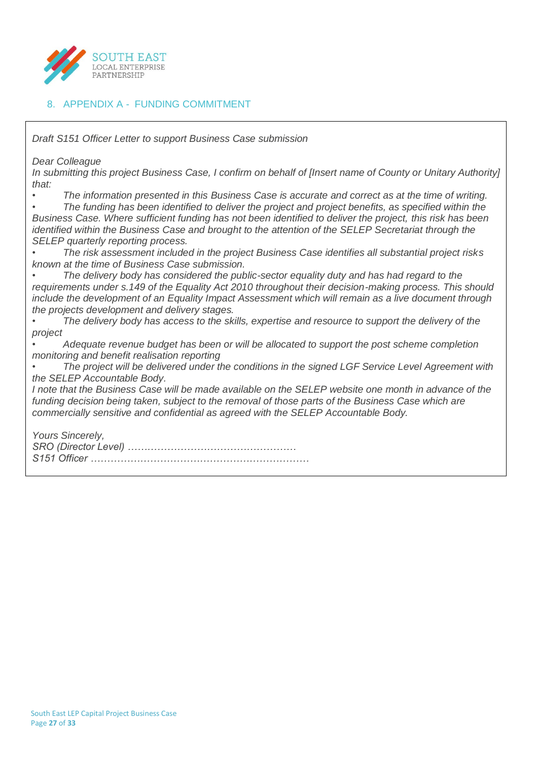

## 8. APPENDIX A - FUNDING COMMITMENT

*Draft S151 Officer Letter to support Business Case submission Dear Colleague In submitting this project Business Case, I confirm on behalf of [Insert name of County or Unitary Authority] that: • The information presented in this Business Case is accurate and correct as at the time of writing. • The funding has been identified to deliver the project and project benefits, as specified within the Business Case. Where sufficient funding has not been identified to deliver the project, this risk has been identified within the Business Case and brought to the attention of the SELEP Secretariat through the SELEP quarterly reporting process. • The risk assessment included in the project Business Case identifies all substantial project risks known at the time of Business Case submission. • The delivery body has considered the public-sector equality duty and has had regard to the requirements under s.149 of the Equality Act 2010 throughout their decision-making process. This should include the development of an Equality Impact Assessment which will remain as a live document through the projects development and delivery stages. • The delivery body has access to the skills, expertise and resource to support the delivery of the project • Adequate revenue budget has been or will be allocated to support the post scheme completion monitoring and benefit realisation reporting • The project will be delivered under the conditions in the signed LGF Service Level Agreement with the SELEP Accountable Body. I note that the Business Case will be made available on the SELEP website one month in advance of the funding decision being taken, subject to the removal of those parts of the Business Case which are commercially sensitive and confidential as agreed with the SELEP Accountable Body. Yours Sincerely, SRO (Director Level) …………………………………………… S151 Officer …………………………………………………………*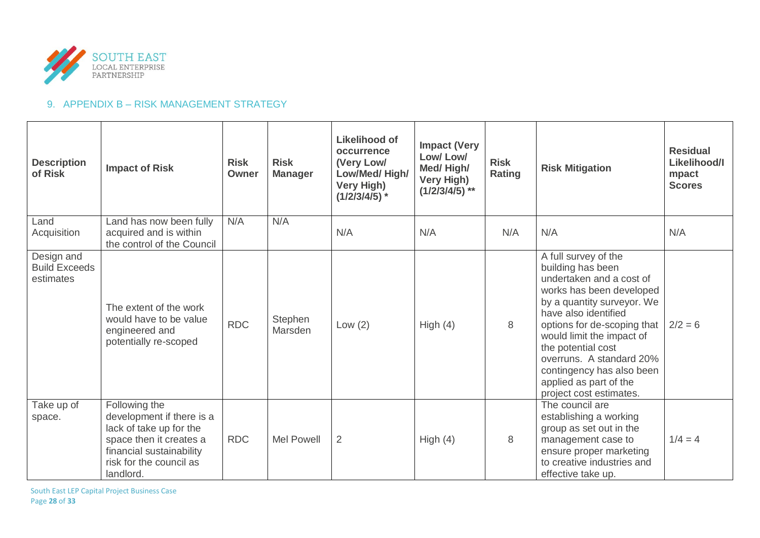

# 9. APPENDIX B – RISK MANAGEMENT STRATEGY

| <b>Description</b><br>of Risk                   | <b>Impact of Risk</b>                                                                                                                                                | <b>Risk</b><br>Owner | <b>Risk</b><br><b>Manager</b> | Likelihood of<br>occurrence<br>(Very Low/<br>Low/Med/High/<br><b>Very High)</b><br>$(1/2/3/4/5)$ * | <b>Impact (Very</b><br>Low/Low/<br>Med/High/<br>Very High)<br>$(1/2/3/4/5)$ ** | <b>Risk</b><br><b>Rating</b> | <b>Risk Mitigation</b>                                                                                                                                                                                                                                                                                                                                  | <b>Residual</b><br>Likelihood/I<br>mpact<br><b>Scores</b> |
|-------------------------------------------------|----------------------------------------------------------------------------------------------------------------------------------------------------------------------|----------------------|-------------------------------|----------------------------------------------------------------------------------------------------|--------------------------------------------------------------------------------|------------------------------|---------------------------------------------------------------------------------------------------------------------------------------------------------------------------------------------------------------------------------------------------------------------------------------------------------------------------------------------------------|-----------------------------------------------------------|
| Land<br>Acquisition                             | Land has now been fully<br>acquired and is within<br>the control of the Council                                                                                      | N/A                  | N/A                           | N/A                                                                                                | N/A                                                                            | N/A                          | N/A                                                                                                                                                                                                                                                                                                                                                     | N/A                                                       |
| Design and<br><b>Build Exceeds</b><br>estimates | The extent of the work<br>would have to be value<br>engineered and<br>potentially re-scoped                                                                          | <b>RDC</b>           | Stephen<br>Marsden            | Low $(2)$                                                                                          | High $(4)$                                                                     | 8                            | A full survey of the<br>building has been<br>undertaken and a cost of<br>works has been developed<br>by a quantity surveyor. We<br>have also identified<br>options for de-scoping that<br>would limit the impact of<br>the potential cost<br>overruns. A standard 20%<br>contingency has also been<br>applied as part of the<br>project cost estimates. | $2/2 = 6$                                                 |
| Take up of<br>space.                            | Following the<br>development if there is a<br>lack of take up for the<br>space then it creates a<br>financial sustainability<br>risk for the council as<br>landlord. | <b>RDC</b>           | <b>Mel Powell</b>             | $\overline{2}$                                                                                     | High $(4)$                                                                     | 8                            | The council are<br>establishing a working<br>group as set out in the<br>management case to<br>ensure proper marketing<br>to creative industries and<br>effective take up.                                                                                                                                                                               | $1/4 = 4$                                                 |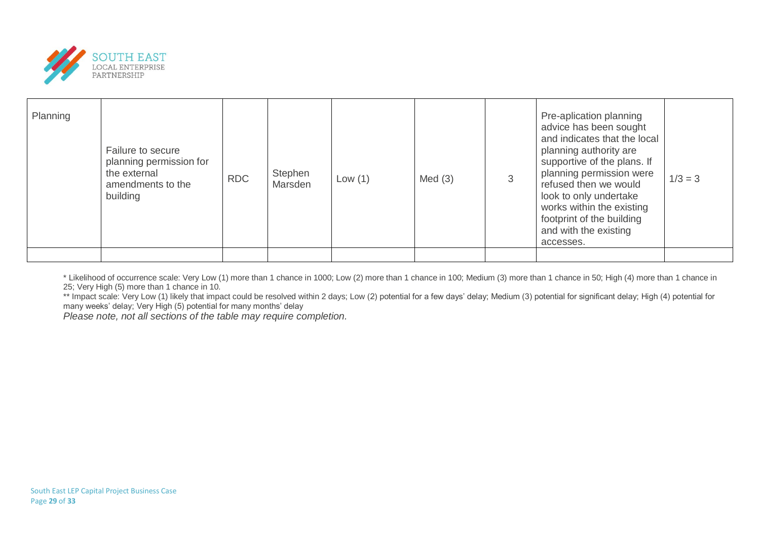

| Planning | Failure to secure<br>planning permission for<br>the external<br>amendments to the<br>building | <b>RDC</b> | Stephen<br>Marsden | Low $(1)$ | Med(3) | Pre-aplication planning<br>advice has been sought<br>and indicates that the local<br>planning authority are<br>supportive of the plans. If<br>planning permission were<br>refused then we would<br>look to only undertake<br>works within the existing<br>footprint of the building<br>and with the existing<br>accesses. | $1/3 = 3$ |
|----------|-----------------------------------------------------------------------------------------------|------------|--------------------|-----------|--------|---------------------------------------------------------------------------------------------------------------------------------------------------------------------------------------------------------------------------------------------------------------------------------------------------------------------------|-----------|
|          |                                                                                               |            |                    |           |        |                                                                                                                                                                                                                                                                                                                           |           |

\* Likelihood of occurrence scale: Very Low (1) more than 1 chance in 1000; Low (2) more than 1 chance in 100; Medium (3) more than 1 chance in 50; High (4) more than 1 chance in 25; Very High (5) more than 1 chance in 10.

\*\* Impact scale: Very Low (1) likely that impact could be resolved within 2 days; Low (2) potential for a few days' delay; Medium (3) potential for significant delay; High (4) potential for many weeks' delay; Very High (5) potential for many months' delay

*Please note, not all sections of the table may require completion.*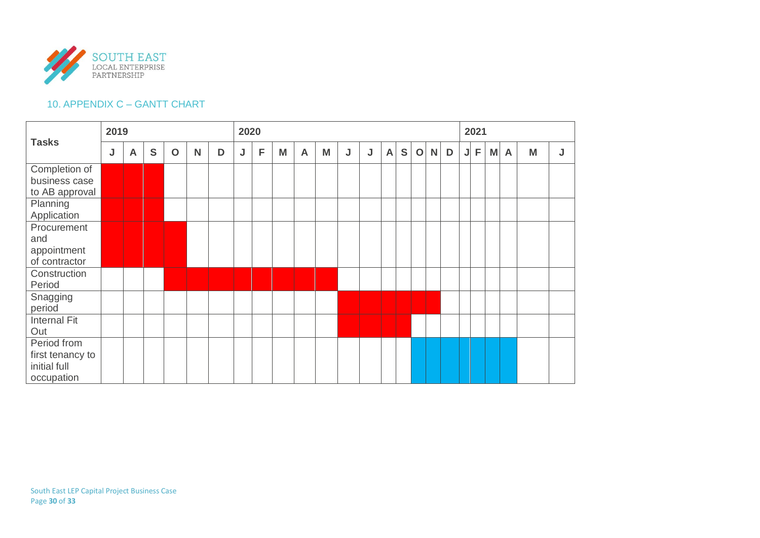

# 10. APPENDIX C – GANTT CHART

|                                                               |   | 2019         |   |             |   |   | 2020 |   |   |              |   |   |   |              |   |             |              | 2021 |   |                |   |              |   |   |
|---------------------------------------------------------------|---|--------------|---|-------------|---|---|------|---|---|--------------|---|---|---|--------------|---|-------------|--------------|------|---|----------------|---|--------------|---|---|
| <b>Tasks</b>                                                  | J | $\mathsf{A}$ | S | $\mathbf O$ | N | D | J    | F | M | $\mathsf{A}$ | M | J | J | $\mathsf{A}$ | S | $\mathbf O$ | $\mathsf{N}$ | D    | J | $\overline{F}$ | M | $\mathsf{A}$ | M | J |
| Completion of<br>business case<br>to AB approval<br>Planning  |   |              |   |             |   |   |      |   |   |              |   |   |   |              |   |             |              |      |   |                |   |              |   |   |
| Application                                                   |   |              |   |             |   |   |      |   |   |              |   |   |   |              |   |             |              |      |   |                |   |              |   |   |
| Procurement<br>and<br>appointment<br>of contractor            |   |              |   |             |   |   |      |   |   |              |   |   |   |              |   |             |              |      |   |                |   |              |   |   |
| Construction<br>Period                                        |   |              |   |             |   |   |      |   |   |              |   |   |   |              |   |             |              |      |   |                |   |              |   |   |
| Snagging<br>period                                            |   |              |   |             |   |   |      |   |   |              |   |   |   |              |   |             |              |      |   |                |   |              |   |   |
| <b>Internal Fit</b><br>Out                                    |   |              |   |             |   |   |      |   |   |              |   |   |   |              |   |             |              |      |   |                |   |              |   |   |
| Period from<br>first tenancy to<br>initial full<br>occupation |   |              |   |             |   |   |      |   |   |              |   |   |   |              |   |             |              |      |   |                |   |              |   |   |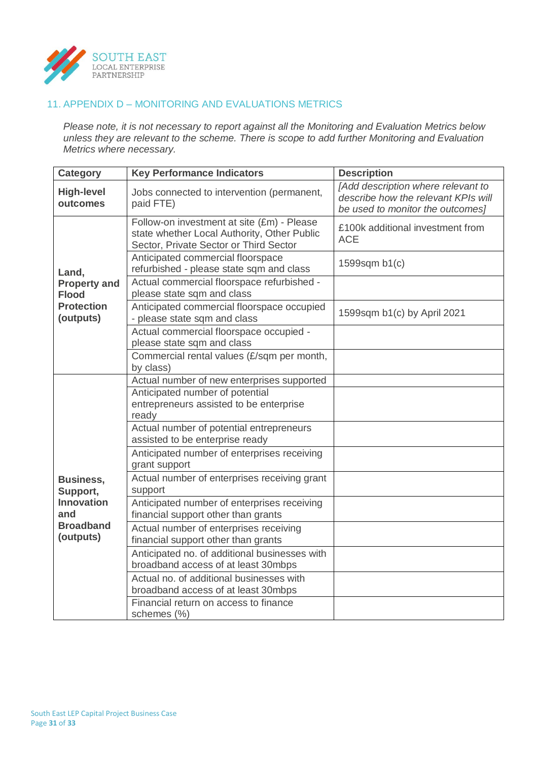

# 11. APPENDIX D – MONITORING AND EVALUATIONS METRICS

*Please note, it is not necessary to report against all the Monitoring and Evaluation Metrics below unless they are relevant to the scheme. There is scope to add further Monitoring and Evaluation Metrics where necessary.*

| <b>Category</b>                     | <b>Key Performance Indicators</b>                                                                                                   | <b>Description</b>                                                                                            |
|-------------------------------------|-------------------------------------------------------------------------------------------------------------------------------------|---------------------------------------------------------------------------------------------------------------|
| <b>High-level</b><br>outcomes       | Jobs connected to intervention (permanent,<br>paid FTE)                                                                             | [Add description where relevant to<br>describe how the relevant KPIs will<br>be used to monitor the outcomes] |
|                                     | Follow-on investment at site (£m) - Please<br>state whether Local Authority, Other Public<br>Sector, Private Sector or Third Sector | £100k additional investment from<br><b>ACE</b>                                                                |
| Land,                               | Anticipated commercial floorspace<br>refurbished - please state sqm and class                                                       | 1599sqm b1(c)                                                                                                 |
| <b>Property and</b><br><b>Flood</b> | Actual commercial floorspace refurbished -<br>please state sqm and class                                                            |                                                                                                               |
| <b>Protection</b><br>(outputs)      | Anticipated commercial floorspace occupied<br>- please state sqm and class                                                          | 1599sqm b1(c) by April 2021                                                                                   |
|                                     | Actual commercial floorspace occupied -<br>please state sqm and class                                                               |                                                                                                               |
|                                     | Commercial rental values (£/sqm per month,<br>by class)                                                                             |                                                                                                               |
|                                     | Actual number of new enterprises supported                                                                                          |                                                                                                               |
|                                     | Anticipated number of potential<br>entrepreneurs assisted to be enterprise<br>ready                                                 |                                                                                                               |
|                                     | Actual number of potential entrepreneurs<br>assisted to be enterprise ready                                                         |                                                                                                               |
|                                     | Anticipated number of enterprises receiving<br>grant support                                                                        |                                                                                                               |
| <b>Business,</b><br>Support,        | Actual number of enterprises receiving grant<br>support                                                                             |                                                                                                               |
| <b>Innovation</b><br>and            | Anticipated number of enterprises receiving<br>financial support other than grants                                                  |                                                                                                               |
| <b>Broadband</b><br>(outputs)       | Actual number of enterprises receiving<br>financial support other than grants                                                       |                                                                                                               |
|                                     | Anticipated no. of additional businesses with<br>broadband access of at least 30mbps                                                |                                                                                                               |
|                                     | Actual no, of additional businesses with<br>broadband access of at least 30mbps                                                     |                                                                                                               |
|                                     | Financial return on access to finance<br>schemes (%)                                                                                |                                                                                                               |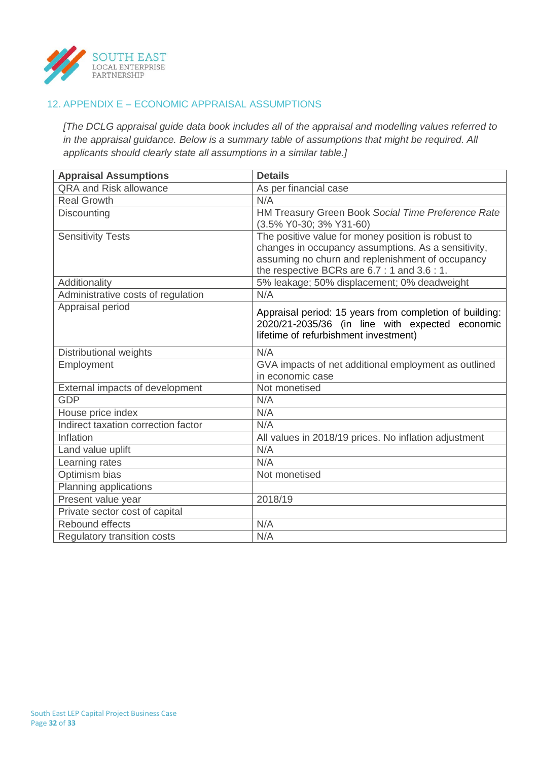

# 12. APPENDIX E – ECONOMIC APPRAISAL ASSUMPTIONS

*[The DCLG appraisal guide data book includes all of the appraisal and modelling values referred to in the appraisal guidance. Below is a summary table of assumptions that might be required. All applicants should clearly state all assumptions in a similar table.]*

| <b>Appraisal Assumptions</b>        | <b>Details</b>                                          |
|-------------------------------------|---------------------------------------------------------|
| <b>QRA and Risk allowance</b>       | As per financial case                                   |
| <b>Real Growth</b>                  | N/A                                                     |
| <b>Discounting</b>                  | HM Treasury Green Book Social Time Preference Rate      |
|                                     | (3.5% Y0-30; 3% Y31-60)                                 |
| <b>Sensitivity Tests</b>            | The positive value for money position is robust to      |
|                                     | changes in occupancy assumptions. As a sensitivity,     |
|                                     | assuming no churn and replenishment of occupancy        |
|                                     | the respective BCRs are 6.7 : 1 and 3.6 : 1.            |
| Additionality                       | 5% leakage; 50% displacement; 0% deadweight             |
| Administrative costs of regulation  | N/A                                                     |
| Appraisal period                    | Appraisal period: 15 years from completion of building: |
|                                     | 2020/21-2035/36 (in line with expected economic         |
|                                     | lifetime of refurbishment investment)                   |
| Distributional weights              | N/A                                                     |
| Employment                          | GVA impacts of net additional employment as outlined    |
|                                     | in economic case                                        |
| External impacts of development     | Not monetised                                           |
| <b>GDP</b>                          | N/A                                                     |
| House price index                   | N/A                                                     |
| Indirect taxation correction factor | N/A                                                     |
| Inflation                           | All values in 2018/19 prices. No inflation adjustment   |
| Land value uplift                   | N/A                                                     |
| Learning rates                      | N/A                                                     |
| Optimism bias                       | Not monetised                                           |
| Planning applications               |                                                         |
| Present value year                  | 2018/19                                                 |
| Private sector cost of capital      |                                                         |
| Rebound effects                     | N/A                                                     |
| <b>Regulatory transition costs</b>  | N/A                                                     |